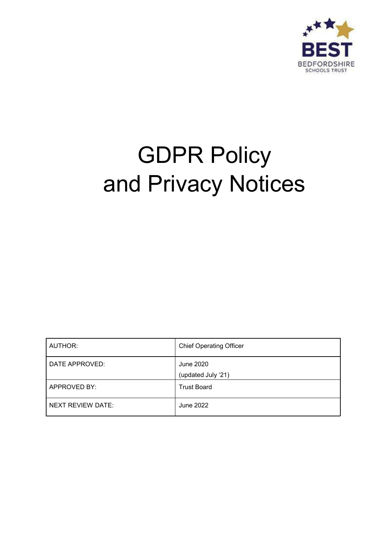

# GDPR Policy and Privacy Notices

| AUTHOR:           | <b>Chief Operating Officer</b>  |
|-------------------|---------------------------------|
| DATE APPROVED:    | June 2020<br>(updated July '21) |
| APPROVED BY:      | <b>Trust Board</b>              |
| NEXT REVIEW DATE: | June 2022                       |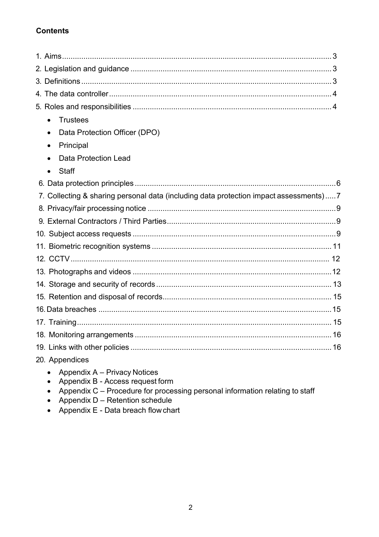### **Contents**

| <b>Trustees</b><br>$\bullet$                                                          |  |
|---------------------------------------------------------------------------------------|--|
| Data Protection Officer (DPO)<br>$\bullet$                                            |  |
| Principal<br>$\bullet$                                                                |  |
| <b>Data Protection Lead</b>                                                           |  |
| <b>Staff</b>                                                                          |  |
|                                                                                       |  |
| 7. Collecting & sharing personal data (including data protection impact assessments)7 |  |
|                                                                                       |  |
|                                                                                       |  |
|                                                                                       |  |
|                                                                                       |  |
|                                                                                       |  |
|                                                                                       |  |
|                                                                                       |  |
|                                                                                       |  |
|                                                                                       |  |
|                                                                                       |  |
|                                                                                       |  |
|                                                                                       |  |
| $20 \pm 2.5$                                                                          |  |

- 20. Appendices
	- Appendix  $A -$  Privacy Notices
	- Appendix B Access request form
	- Appendix C Procedure for processing personal information relating to staff
	- Appendix  $D$  Retention schedule
	- Appendix E Data breach flow chart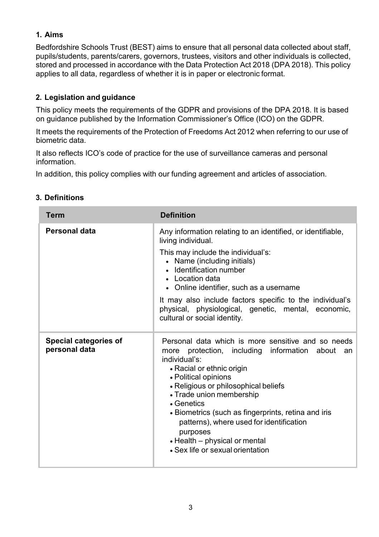### <span id="page-2-0"></span>**1. Aims**

Bedfordshire Schools Trust (BEST) aims to ensure that all personal data collected about staff, pupils/students, parents/carers, governors, trustees, visitors and other individuals is collected, stored and processed in accordance with the Data Protection Act 2018 (DPA 2018). This policy applies to all data, regardless of whether it is in paper or electronic format.

### <span id="page-2-1"></span>**2. Legislation and guidance**

This policy meets the requirements of the GDPR and provisions of the DPA 2018. It is based on guidance published by the Information Commissioner's Office (ICO) on the GDPR.

It meets the requirements of the Protection of Freedoms Act 2012 when referring to our use of biometric data.

It also reflects ICO's code of practice for the use of surveillance cameras and personal information.

In addition, this policy complies with our funding agreement and articles of association.

| <b>Term</b>                                   | <b>Definition</b>                                                                                                                                                                                                                                                                                                                                                                                                                                    |  |
|-----------------------------------------------|------------------------------------------------------------------------------------------------------------------------------------------------------------------------------------------------------------------------------------------------------------------------------------------------------------------------------------------------------------------------------------------------------------------------------------------------------|--|
| <b>Personal data</b>                          | Any information relating to an identified, or identifiable,<br>living individual.<br>This may include the individual's:<br>• Name (including initials)<br>Identification number<br>• Location data<br>• Online identifier, such as a username<br>It may also include factors specific to the individual's<br>physical, physiological, genetic, mental, economic,<br>cultural or social identity.                                                     |  |
| <b>Special categories of</b><br>personal data | Personal data which is more sensitive and so needs<br>more protection, including information about<br>an<br>individual's:<br>• Racial or ethnic origin<br>• Political opinions<br>• Religious or philosophical beliefs<br>• Trade union membership<br>• Genetics<br>• Biometrics (such as fingerprints, retina and iris<br>patterns), where used for identification<br>purposes<br>• Health – physical or mental<br>• Sex life or sexual orientation |  |

### <span id="page-2-2"></span>**3. Definitions**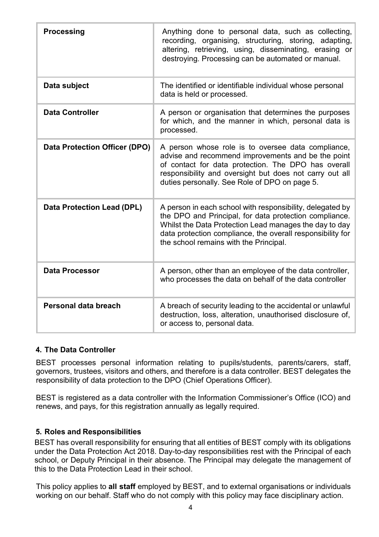| <b>Processing</b>                    | Anything done to personal data, such as collecting,<br>recording, organising, structuring, storing, adapting,<br>altering, retrieving, using, disseminating, erasing or<br>destroying. Processing can be automated or manual.                                                         |
|--------------------------------------|---------------------------------------------------------------------------------------------------------------------------------------------------------------------------------------------------------------------------------------------------------------------------------------|
| Data subject                         | The identified or identifiable individual whose personal<br>data is held or processed.                                                                                                                                                                                                |
| <b>Data Controller</b>               | A person or organisation that determines the purposes<br>for which, and the manner in which, personal data is<br>processed.                                                                                                                                                           |
| <b>Data Protection Officer (DPO)</b> | A person whose role is to oversee data compliance,<br>advise and recommend improvements and be the point<br>of contact for data protection. The DPO has overall<br>responsibility and oversight but does not carry out all<br>duties personally. See Role of DPO on page 5.           |
| <b>Data Protection Lead (DPL)</b>    | A person in each school with responsibility, delegated by<br>the DPO and Principal, for data protection compliance.<br>Whilst the Data Protection Lead manages the day to day<br>data protection compliance, the overall responsibility for<br>the school remains with the Principal. |
| <b>Data Processor</b>                | A person, other than an employee of the data controller,<br>who processes the data on behalf of the data controller                                                                                                                                                                   |
| Personal data breach                 | A breach of security leading to the accidental or unlawful<br>destruction, loss, alteration, unauthorised disclosure of,<br>or access to, personal data.                                                                                                                              |

#### <span id="page-3-0"></span>**4. The Data Controller**

BEST processes personal information relating to pupils/students, parents/carers, staff, governors, trustees, visitors and others, and therefore is a data controller. BEST delegates the responsibility of data protection to the DPO (Chief Operations Officer).

BEST is registered as a data controller with the Information Commissioner's Office (ICO) and renews, and pays, for this registration annually as legally required.

#### <span id="page-3-1"></span>**5. Roles and Responsibilities**

BEST has overall responsibility for ensuring that all entities of BEST comply with its obligations under the Data Protection Act 2018. Day-to-day responsibilities rest with the Principal of each school, or Deputy Principal in their absence. The Principal may delegate the management of this to the Data Protection Lead in their school.

This policy applies to **all staff** employed by BEST, and to external organisations or individuals working on our behalf. Staff who do not comply with this policy may face disciplinary action.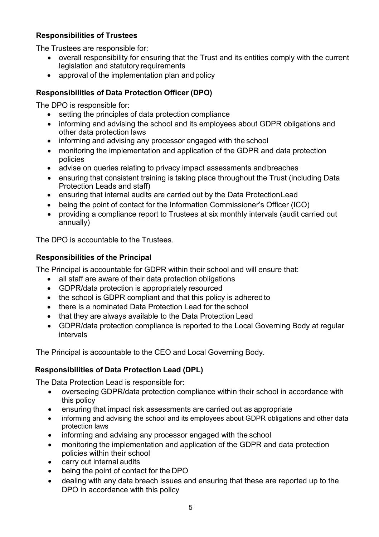### **Responsibilities of Trustees**

The Trustees are responsible for:

- overall responsibility for ensuring that the Trust and its entities comply with the current legislation and statutory requirements
- approval of the implementation plan and policy

### **Responsibilities of Data Protection Officer (DPO)**

The DPO is responsible for:

- setting the principles of data protection compliance
- informing and advising the school and its employees about GDPR obligations and other data protection laws
- informing and advising any processor engaged with the school
- monitoring the implementation and application of the GDPR and data protection policies
- advise on queries relating to privacy impact assessments and breaches
- ensuring that consistent training is taking place throughout the Trust (including Data Protection Leads and staff)
- ensuring that internal audits are carried out by the Data ProtectionLead
- being the point of contact for the Information Commissioner's Officer (ICO)
- providing a compliance report to Trustees at six monthly intervals (audit carried out annually)

The DPO is accountable to the Trustees.

### **Responsibilities of the Principal**

The Principal is accountable for GDPR within their school and will ensure that:

- all staff are aware of their data protection obligations
- GDPR/data protection is appropriately resourced
- the school is GDPR compliant and that this policy is adhered to
- there is a nominated Data Protection Lead for the school
- that they are always available to the Data Protection Lead
- GDPR/data protection compliance is reported to the Local Governing Body at regular intervals

The Principal is accountable to the CEO and Local Governing Body.

### **Responsibilities of Data Protection Lead (DPL)**

The Data Protection Lead is responsible for:

- overseeing GDPR/data protection compliance within their school in accordance with this policy
- ensuring that impact risk assessments are carried out as appropriate
- informing and advising the school and its employees about GDPR obligations and other data protection laws
- informing and advising any processor engaged with the school
- monitoring the implementation and application of the GDPR and data protection policies within their school
- carry out internal audits
- being the point of contact for the DPO
- dealing with any data breach issues and ensuring that these are reported up to the DPO in accordance with this policy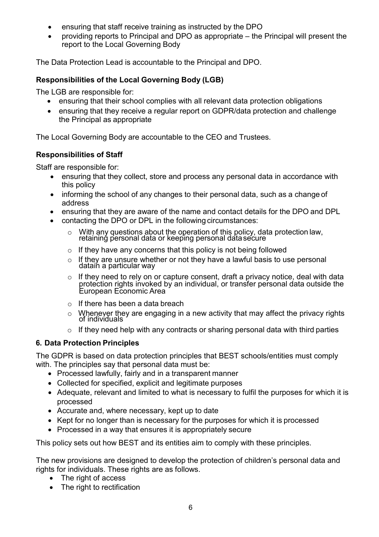- ensuring that staff receive training as instructed by the DPO
- providing reports to Principal and DPO as appropriate the Principal will present the report to the Local Governing Body

The Data Protection Lead is accountable to the Principal and DPO.

### **Responsibilities of the Local Governing Body (LGB)**

The LGB are responsible for:

- ensuring that their school complies with all relevant data protection obligations
- ensuring that they receive a regular report on GDPR/data protection and challenge the Principal as appropriate

The Local Governing Body are accountable to the CEO and Trustees.

### **Responsibilities of Staff**

Staff are responsible for:

- ensuring that they collect, store and process any personal data in accordance with this policy
- informing the school of any changes to their personal data, such as a change of address
- ensuring that they are aware of the name and contact details for the DPO and DPL
- contacting the DPO or DPL in the following circumstances:
	- <sup>o</sup> With any questions about the operation of this policy, data protection law, retaining personal data or keeping personal datasecure
	- $\circ$  If they have any concerns that this policy is not being followed
	- o If they are unsure whether or not they have a lawful basis to use personal datain a particular way
	- $\circ$  If they need to rely on or capture consent, draft a privacy notice, deal with data protection rights invoked by an individual, or transfer personal data outside the European Economic Area
	- $\circ$  If there has been a data breach
	- $\circ$  Whenever they are engaging in a new activity that may affect the privacy rights of individuals
	- $\circ$  If they need help with any contracts or sharing personal data with third parties

### **6. Data Protection Principles**

The GDPR is based on data protection principles that BEST schools/entities must comply with. The principles say that personal data must be:

- <span id="page-5-0"></span>• Processed lawfully, fairly and in a transparent manner
- Collected for specified, explicit and legitimate purposes
- Adequate, relevant and limited to what is necessary to fulfil the purposes for which it is processed
- Accurate and, where necessary, kept up to date
- Kept for no longer than is necessary for the purposes for which it is processed
- Processed in a way that ensures it is appropriately secure

This policy sets out how BEST and its entities aim to comply with these principles.

The new provisions are designed to develop the protection of children's personal data and rights for individuals. These rights are as follows.

- The right of access
- The right to rectification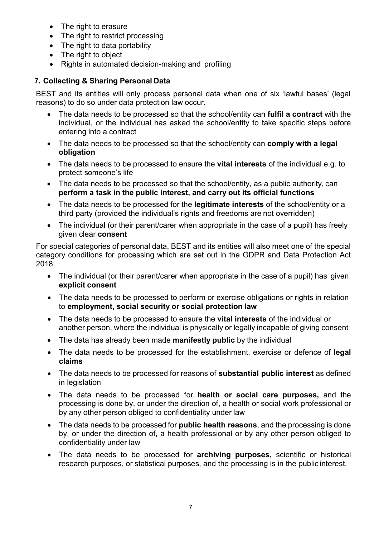- The right to erasure
- The right to restrict processing
- The right to data portability
- The right to object
- Rights in automated decision-making and profiling

### <span id="page-6-0"></span>**7. Collecting & Sharing Personal Data**

BEST and its entities will only process personal data when one of six 'lawful bases' (legal reasons) to do so under data protection law occur.

- The data needs to be processed so that the school/entity can **fulfil a contract** with the individual, or the individual has asked the school/entity to take specific steps before entering into a contract
- The data needs to be processed so that the school/entity can **comply with a legal obligation**
- The data needs to be processed to ensure the **vital interests** of the individual e.g. to protect someone's life
- The data needs to be processed so that the school/entity, as a public authority, can **perform a task in the public interest, and carry out its official functions**
- The data needs to be processed for the **legitimate interests** of the school/entity or a third party (provided the individual's rights and freedoms are not overridden)
- The individual (or their parent/carer when appropriate in the case of a pupil) has freely given clear **consent**

For special categories of personal data, BEST and its entities will also meet one of the special category conditions for processing which are set out in the GDPR and Data Protection Act 2018.

- The individual (or their parent/carer when appropriate in the case of a pupil) has given **explicit consent**
- The data needs to be processed to perform or exercise obligations or rights in relation to **employment, social security or social protection law**
- The data needs to be processed to ensure the **vital interests** of the individual or another person, where the individual is physically or legally incapable of giving consent
- The data has already been made **manifestly public** by the individual
- The data needs to be processed for the establishment, exercise or defence of **legal claims**
- The data needs to be processed for reasons of **substantial public interest** as defined in legislation
- The data needs to be processed for **health or social care purposes,** and the processing is done by, or under the direction of, a health or social work professional or by any other person obliged to confidentiality under law
- The data needs to be processed for **public health reasons**, and the processing is done by, or under the direction of, a health professional or by any other person obliged to confidentiality under law
- The data needs to be processed for **archiving purposes,** scientific or historical research purposes, or statistical purposes, and the processing is in the public interest.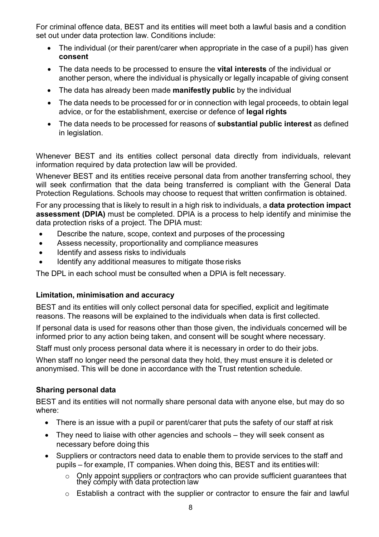For criminal offence data, BEST and its entities will meet both a lawful basis and a condition set out under data protection law. Conditions include:

- The individual (or their parent/carer when appropriate in the case of a pupil) has given **consent**
- The data needs to be processed to ensure the **vital interests** of the individual or another person, where the individual is physically or legally incapable of giving consent
- The data has already been made **manifestly public** by the individual
- The data needs to be processed for or in connection with legal proceeds, to obtain legal advice, or for the establishment, exercise or defence of **legal rights**
- The data needs to be processed for reasons of **substantial public interest** as defined in legislation.

Whenever BEST and its entities collect personal data directly from individuals, relevant information required by data protection law will be provided.

Whenever BEST and its entities receive personal data from another transferring school, they will seek confirmation that the data being transferred is compliant with the General Data Protection Regulations. Schools may choose to request that written confirmation is obtained.

For any processing that is likely to result in a high risk to individuals, a **data protection impact assessment (DPIA)** must be completed. DPIA is a process to help identify and minimise the data protection risks of a project. The DPIA must:

- Describe the nature, scope, context and purposes of the processing
- Assess necessity, proportionality and compliance measures
- Identify and assess risks to individuals
- Identify any additional measures to mitigate those risks

The DPL in each school must be consulted when a DPIA is felt necessary.

### **Limitation, minimisation and accuracy**

BEST and its entities will only collect personal data for specified, explicit and legitimate reasons. The reasons will be explained to the individuals when data is first collected.

If personal data is used for reasons other than those given, the individuals concerned will be informed prior to any action being taken, and consent will be sought where necessary.

Staff must only process personal data where it is necessary in order to do their jobs.

When staff no longer need the personal data they hold, they must ensure it is deleted or anonymised. This will be done in accordance with the Trust retention schedule.

### **Sharing personal data**

BEST and its entities will not normally share personal data with anyone else, but may do so where:

- There is an issue with a pupil or parent/carer that puts the safety of our staff at risk
- They need to liaise with other agencies and schools they will seek consent as necessary before doing this
- Suppliers or contractors need data to enable them to provide services to the staff and pupils – for example, IT companies.When doing this, BEST and its entitieswill:
	- o Only appoint suppliers or contractors who can provide sufficient guarantees that they comply with data protection law
	- o Establish a contract with the supplier or contractor to ensure the fair and lawful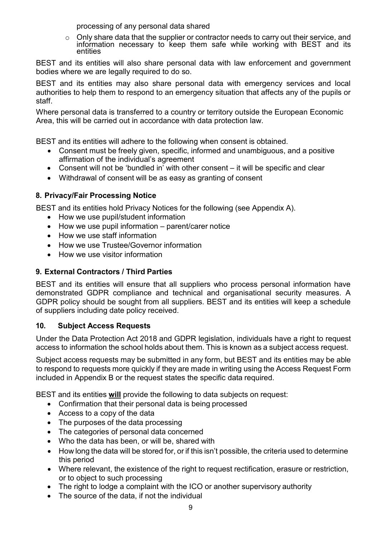processing of any personal data shared

o Only share data that the supplier or contractor needs to carry out their service, and information necessary to keep them safe while working with BEST and its entities

BEST and its entities will also share personal data with law enforcement and government bodies where we are legally required to do so.

BEST and its entities may also share personal data with emergency services and local authorities to help them to respond to an emergency situation that affects any of the pupils or staff.

Where personal data is transferred to a country or territory outside the European Economic Area, this will be carried out in accordance with data protection law.

BEST and its entities will adhere to the following when consent is obtained.

- Consent must be freely given, specific, informed and unambiguous, and a positive affirmation of the individual's agreement
- Consent will not be 'bundled in' with other consent it will be specific and clear
- Withdrawal of consent will be as easy as granting of consent

### <span id="page-8-0"></span>**8. Privacy/Fair Processing Notice**

BEST and its entities hold Privacy Notices for the following (see Appendix A).

- How we use pupil/student information
- How we use pupil information parent/carer notice
- How we use staff information
- How we use Trustee/Governor information
- <span id="page-8-2"></span>• How we use visitor information

### <span id="page-8-1"></span>**9. External Contractors / Third Parties**

BEST and its entities will ensure that all suppliers who process personal information have demonstrated GDPR compliance and technical and organisational security measures. A GDPR policy should be sought from all suppliers. BEST and its entities will keep a schedule of suppliers including date policy received.

### **10. Subject Access Requests**

Under the Data Protection Act 2018 and GDPR legislation, individuals have a right to request access to information the school holds about them. This is known as a subject access request.

Subject access requests may be submitted in any form, but BEST and its entities may be able to respond to requests more quickly if they are made in writing using the Access Request Form included in Appendix B or the request states the specific data required.

BEST and its entities **will** provide the following to data subjects on request:

- Confirmation that their personal data is being processed
- Access to a copy of the data
- The purposes of the data processing
- The categories of personal data concerned
- Who the data has been, or will be, shared with
- How long the data will be stored for, or if this isn't possible, the criteria used to determine this period
- Where relevant, the existence of the right to request rectification, erasure or restriction, or to object to such processing
- The right to lodge a complaint with the ICO or another supervisory authority
- The source of the data, if not the individual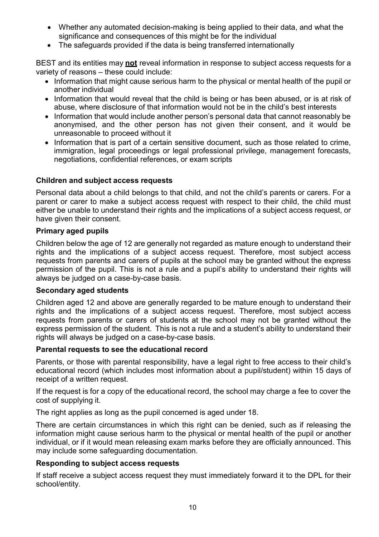- Whether any automated decision-making is being applied to their data, and what the significance and consequences of this might be for the individual
- The safeguards provided if the data is being transferred internationally

BEST and its entities may **not** reveal information in response to subject access requests for a variety of reasons – these could include:

- Information that might cause serious harm to the physical or mental health of the pupil or another individual
- Information that would reveal that the child is being or has been abused, or is at risk of abuse, where disclosure of that information would not be in the child's best interests
- Information that would include another person's personal data that cannot reasonably be anonymised, and the other person has not given their consent, and it would be unreasonable to proceed without it
- Information that is part of a certain sensitive document, such as those related to crime, immigration, legal proceedings or legal professional privilege, management forecasts, negotiations, confidential references, or exam scripts

### **Children and subject access requests**

Personal data about a child belongs to that child, and not the child's parents or carers. For a parent or carer to make a subject access request with respect to their child, the child must either be unable to understand their rights and the implications of a subject access request, or have given their consent.

#### **Primary aged pupils**

Children below the age of 12 are generally not regarded as mature enough to understand their rights and the implications of a subject access request. Therefore, most subject access requests from parents and carers of pupils at the school may be granted without the express permission of the pupil. This is not a rule and a pupil's ability to understand their rights will always be judged on a case-by-case basis.

#### **Secondary aged students**

Children aged 12 and above are generally regarded to be mature enough to understand their rights and the implications of a subject access request. Therefore, most subject access requests from parents or carers of students at the school may not be granted without the express permission of the student. This is not a rule and a student's ability to understand their rights will always be judged on a case-by-case basis.

#### **Parental requests to see the educational record**

Parents, or those with parental responsibility, have a legal right to free access to their child's educational record (which includes most information about a pupil/student) within 15 days of receipt of a written request.

If the request is for a copy of the educational record, the school may charge a fee to cover the cost of supplying it.

The right applies as long as the pupil concerned is aged under 18.

There are certain circumstances in which this right can be denied, such as if releasing the information might cause serious harm to the physical or mental health of the pupil or another individual, or if it would mean releasing exam marks before they are officially announced. This may include some safeguarding documentation.

#### **Responding to subject access requests**

If staff receive a subject access request they must immediately forward it to the DPL for their school/entity.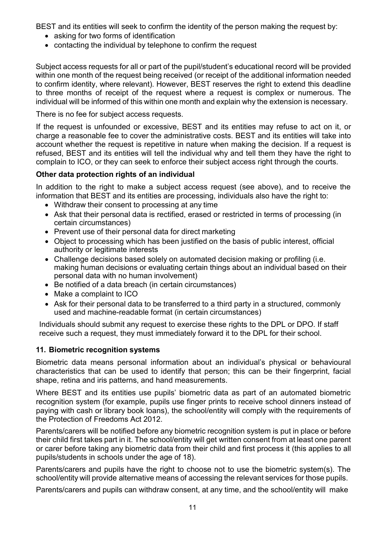BEST and its entities will seek to confirm the identity of the person making the request by:

- asking for two forms of identification
- contacting the individual by telephone to confirm the request

Subject access requests for all or part of the pupil/student's educational record will be provided within one month of the request being received (or receipt of the additional information needed to confirm identity, where relevant). However, BEST reserves the right to extend this deadline to three months of receipt of the request where a request is complex or numerous. The individual will be informed of this within one month and explain why the extension is necessary.

There is no fee for subject access requests.

If the request is unfounded or excessive, BEST and its entities may refuse to act on it, or charge a reasonable fee to cover the administrative costs. BEST and its entities will take into account whether the request is repetitive in nature when making the decision. If a request is refused, BEST and its entities will tell the individual why and tell them they have the right to complain to ICO, or they can seek to enforce their subject access right through the courts.

### **Other data protection rights of an individual**

In addition to the right to make a subject access request (see above), and to receive the information that BEST and its entities are processing, individuals also have the right to:

- Withdraw their consent to processing at any time
- Ask that their personal data is rectified, erased or restricted in terms of processing (in certain circumstances)
- Prevent use of their personal data for direct marketing
- Object to processing which has been justified on the basis of public interest, official authority or legitimate interests
- Challenge decisions based solely on automated decision making or profiling (i.e. making human decisions or evaluating certain things about an individual based on their personal data with no human involvement)
- Be notified of a data breach (in certain circumstances)
- Make a complaint to ICO
- Ask for their personal data to be transferred to a third party in a structured, commonly used and machine-readable format (in certain circumstances)

Individuals should submit any request to exercise these rights to the DPL or DPO. If staff receive such a request, they must immediately forward it to the DPL for their school.

### <span id="page-10-0"></span>**11. Biometric recognition systems**

Biometric data means personal information about an individual's physical or behavioural characteristics that can be used to identify that person; this can be their fingerprint, facial shape, retina and iris patterns, and hand measurements.

Where BEST and its entities use pupils' biometric data as part of an automated biometric recognition system (for example, pupils use finger prints to receive school dinners instead of paying with cash or library book loans), the school/entity will comply with the requirements of the Protection of Freedoms Act 2012.

Parents/carers will be notified before any biometric recognition system is put in place or before their child first takes part in it. The school/entity will get written consent from at least one parent or carer before taking any biometric data from their child and first process it (this applies to all pupils/students in schools under the age of 18).

Parents/carers and pupils have the right to choose not to use the biometric system(s). The school/entity will provide alternative means of accessing the relevant services for those pupils.

Parents/carers and pupils can withdraw consent, at any time, and the school/entity will make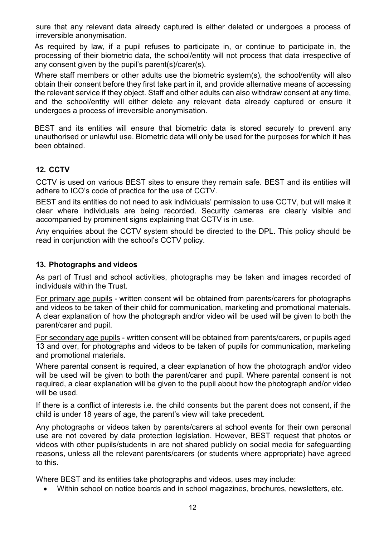sure that any relevant data already captured is either deleted or undergoes a process of irreversible anonymisation.

As required by law, if a pupil refuses to participate in, or continue to participate in, the processing of their biometric data, the school/entity will not process that data irrespective of any consent given by the pupil's parent(s)/carer(s).

Where staff members or other adults use the biometric system(s), the school/entity will also obtain their consent before they first take part in it, and provide alternative means of accessing the relevant service if they object. Staff and other adults can also withdraw consent at any time, and the school/entity will either delete any relevant data already captured or ensure it undergoes a process of irreversible anonymisation.

BEST and its entities will ensure that biometric data is stored securely to prevent any unauthorised or unlawful use. Biometric data will only be used for the purposes for which it has been obtained.

### <span id="page-11-0"></span>**12. CCTV**

CCTV is used on various BEST sites to ensure they remain safe. BEST and its entities will adhere to ICO's code of practice for the use of CCTV.

BEST and its entities do not need to ask individuals' permission to use CCTV, but will make it clear where individuals are being recorded. Security cameras are clearly visible and accompanied by prominent signs explaining that CCTV is in use.

Any enquiries about the CCTV system should be directed to the DPL. This policy should be read in conjunction with the school's CCTV policy.

### <span id="page-11-1"></span>**13. Photographs and videos**

As part of Trust and school activities, photographs may be taken and images recorded of individuals within the Trust.

For primary age pupils - written consent will be obtained from parents/carers for photographs and videos to be taken of their child for communication, marketing and promotional materials. A clear explanation of how the photograph and/or video will be used will be given to both the parent/carer and pupil.

For secondary age pupils - written consent will be obtained from parents/carers, or pupils aged 13 and over, for photographs and videos to be taken of pupils for communication, marketing and promotional materials.

Where parental consent is required, a clear explanation of how the photograph and/or video will be used will be given to both the parent/carer and pupil. Where parental consent is not required, a clear explanation will be given to the pupil about how the photograph and/or video will be used.

If there is a conflict of interests i.e. the child consents but the parent does not consent, if the child is under 18 years of age, the parent's view will take precedent.

Any photographs or videos taken by parents/carers at school events for their own personal use are not covered by data protection legislation. However, BEST request that photos or videos with other pupils/students in are not shared publicly on social media for safeguarding reasons, unless all the relevant parents/carers (or students where appropriate) have agreed to this.

Where BEST and its entities take photographs and videos, uses may include:

• Within school on notice boards and in school magazines, brochures, newsletters, etc.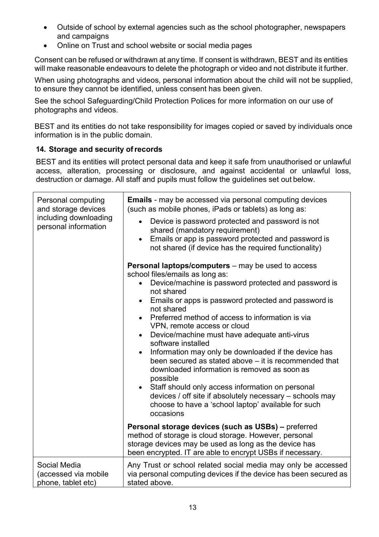- Outside of school by external agencies such as the school photographer, newspapers and campaigns
- Online on Trust and school website or social media pages

Consent can be refused or withdrawn at any time. If consent is withdrawn, BEST and its entities will make reasonable endeavours to delete the photograph or video and not distribute it further.

When using photographs and videos, personal information about the child will not be supplied, to ensure they cannot be identified, unless consent has been given.

See the school Safeguarding/Child Protection Polices for more information on our use of photographs and videos.

BEST and its entities do not take responsibility for images copied or saved by individuals once information is in the public domain.

### <span id="page-12-0"></span>**14. Storage and security ofrecords**

BEST and its entities will protect personal data and keep it safe from unauthorised or unlawful access, alteration, processing or disclosure, and against accidental or unlawful loss, destruction or damage. All staff and pupils must follow the guidelines set out below.

| Personal computing<br>and storage devices<br>including downloading<br>personal information | <b>Emails</b> - may be accessed via personal computing devices<br>(such as mobile phones, iPads or tablets) as long as:<br>Device is password protected and password is not<br>shared (mandatory requirement)<br>Emails or app is password protected and password is<br>not shared (if device has the required functionality)                                                                                                                                                                                                                                                                                                                                                                                                                                                   |  |
|--------------------------------------------------------------------------------------------|---------------------------------------------------------------------------------------------------------------------------------------------------------------------------------------------------------------------------------------------------------------------------------------------------------------------------------------------------------------------------------------------------------------------------------------------------------------------------------------------------------------------------------------------------------------------------------------------------------------------------------------------------------------------------------------------------------------------------------------------------------------------------------|--|
|                                                                                            | <b>Personal laptops/computers</b> – may be used to access<br>school files/emails as long as:<br>Device/machine is password protected and password is<br>not shared<br>Emails or apps is password protected and password is<br>not shared<br>Preferred method of access to information is via<br>VPN, remote access or cloud<br>Device/machine must have adequate anti-virus<br>software installed<br>Information may only be downloaded if the device has<br>$\bullet$<br>been secured as stated above – it is recommended that<br>downloaded information is removed as soon as<br>possible<br>Staff should only access information on personal<br>devices / off site if absolutely necessary - schools may<br>choose to have a 'school laptop' available for such<br>occasions |  |
|                                                                                            | Personal storage devices (such as USBs) - preferred<br>method of storage is cloud storage. However, personal<br>storage devices may be used as long as the device has<br>been encrypted. IT are able to encrypt USBs if necessary.                                                                                                                                                                                                                                                                                                                                                                                                                                                                                                                                              |  |
| Social Media<br>(accessed via mobile<br>phone, tablet etc)                                 | Any Trust or school related social media may only be accessed<br>via personal computing devices if the device has been secured as<br>stated above.                                                                                                                                                                                                                                                                                                                                                                                                                                                                                                                                                                                                                              |  |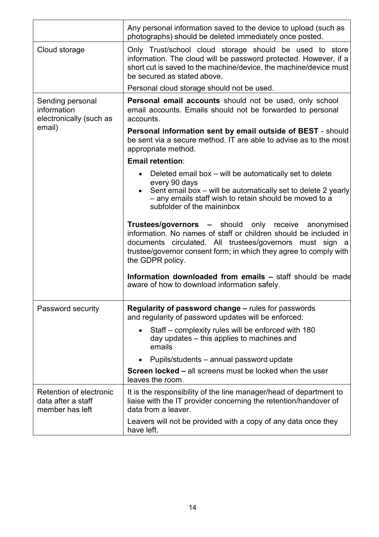|                                                                      | Any personal information saved to the device to upload (such as<br>photographs) should be deleted immediately once posted.                                                                                                                                                          |  |  |  |  |
|----------------------------------------------------------------------|-------------------------------------------------------------------------------------------------------------------------------------------------------------------------------------------------------------------------------------------------------------------------------------|--|--|--|--|
| Cloud storage                                                        | Only Trust/school cloud storage should be used to store<br>information. The cloud will be password protected. However, if a<br>short cut is saved to the machine/device, the machine/device must<br>be secured as stated above.                                                     |  |  |  |  |
|                                                                      | Personal cloud storage should not be used.                                                                                                                                                                                                                                          |  |  |  |  |
| Sending personal<br>information<br>electronically (such as<br>email) | <b>Personal email accounts</b> should not be used, only school<br>email accounts. Emails should not be forwarded to personal<br>accounts.                                                                                                                                           |  |  |  |  |
|                                                                      | Personal information sent by email outside of BEST - should<br>be sent via a secure method. IT are able to advise as to the most<br>appropriate method.                                                                                                                             |  |  |  |  |
|                                                                      | <b>Email retention:</b>                                                                                                                                                                                                                                                             |  |  |  |  |
|                                                                      | • Deleted email box $-$ will be automatically set to delete<br>every 90 days<br>Sent email box - will be automatically set to delete 2 yearly<br>- any emails staff wish to retain should be moved to a<br>subfolder of the maininbox                                               |  |  |  |  |
|                                                                      | <b>Trustees/governors -</b> should only receive anonymised<br>information. No names of staff or children should be included in<br>documents circulated. All trustees/governors must sign a<br>trustee/governor consent form; in which they agree to comply with<br>the GDPR policy. |  |  |  |  |
|                                                                      | Information downloaded from emails - staff should be made<br>aware of how to download information safely.                                                                                                                                                                           |  |  |  |  |
| Password security                                                    | <b>Regularity of password change – rules for passwords</b><br>and regularity of password updates will be enforced:                                                                                                                                                                  |  |  |  |  |
|                                                                      | Staff – complexity rules will be enforced with 180<br>day updates – this applies to machines and<br>emails                                                                                                                                                                          |  |  |  |  |
|                                                                      | Pupils/students - annual password update                                                                                                                                                                                                                                            |  |  |  |  |
|                                                                      | <b>Screen locked – all screens must be locked when the user</b><br>leaves the room.                                                                                                                                                                                                 |  |  |  |  |
| Retention of electronic<br>data after a staff<br>member has left     | It is the responsibility of the line manager/head of department to<br>liaise with the IT provider concerning the retention/handover of<br>data from a leaver.                                                                                                                       |  |  |  |  |
|                                                                      | Leavers will not be provided with a copy of any data once they<br>have left.                                                                                                                                                                                                        |  |  |  |  |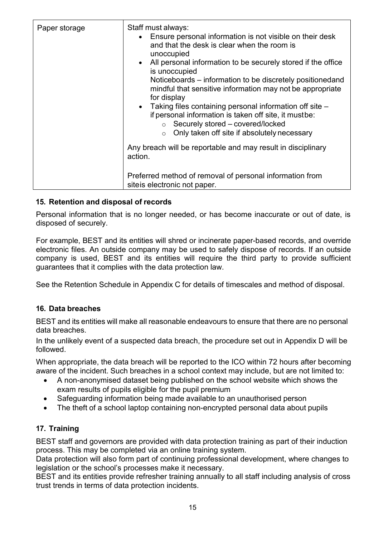| Paper storage | Staff must always:<br>Ensure personal information is not visible on their desk<br>$\bullet$<br>and that the desk is clear when the room is<br>unoccupied<br>• All personal information to be securely stored if the office<br>is unoccupied<br>Noticeboards – information to be discretely positionedand<br>mindful that sensitive information may not be appropriate<br>for display<br>• Taking files containing personal information off site $-$<br>if personal information is taken off site, it mustbe:<br>Securely stored - covered/locked<br>$\circ$<br>Only taken off site if absolutely necessary<br>$\circ$ |
|---------------|-----------------------------------------------------------------------------------------------------------------------------------------------------------------------------------------------------------------------------------------------------------------------------------------------------------------------------------------------------------------------------------------------------------------------------------------------------------------------------------------------------------------------------------------------------------------------------------------------------------------------|
|               | Any breach will be reportable and may result in disciplinary<br>action.                                                                                                                                                                                                                                                                                                                                                                                                                                                                                                                                               |
|               | Preferred method of removal of personal information from<br>site is electronic not paper.                                                                                                                                                                                                                                                                                                                                                                                                                                                                                                                             |

### <span id="page-14-0"></span>**15. Retention and disposal of records**

Personal information that is no longer needed, or has become inaccurate or out of date, is disposed of securely.

For example, BEST and its entities will shred or incinerate paper-based records, and override electronic files. An outside company may be used to safely dispose of records. If an outside company is used, BEST and its entities will require the third party to provide sufficient guarantees that it complies with the data protection law.

See the Retention Schedule in Appendix C for details of timescales and method of disposal.

#### <span id="page-14-1"></span>**16. Data breaches**

BEST and its entities will make all reasonable endeavours to ensure that there are no personal data breaches.

In the unlikely event of a suspected data breach, the procedure set out in Appendix D will be followed.

When appropriate, the data breach will be reported to the ICO within 72 hours after becoming aware of the incident. Such breaches in a school context may include, but are not limited to:

- A non-anonymised dataset being published on the school website which shows the exam results of pupils eligible for the pupil premium
- Safeguarding information being made available to an unauthorised person
- The theft of a school laptop containing non-encrypted personal data about pupils

### <span id="page-14-2"></span>**17. Training**

BEST staff and governors are provided with data protection training as part of their induction process. This may be completed via an online training system.

Data protection will also form part of continuing professional development, where changes to legislation or the school's processes make it necessary.

BEST and its entities provide refresher training annually to all staff including analysis of cross trust trends in terms of data protection incidents.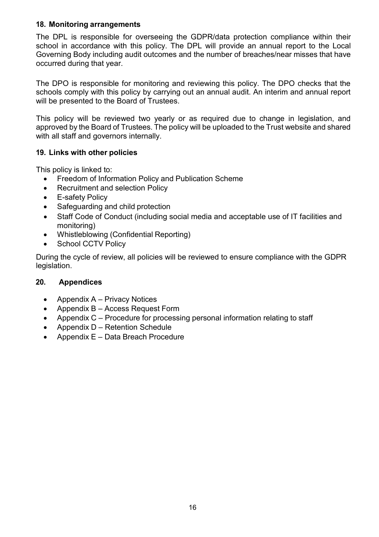### <span id="page-15-0"></span>**18. Monitoring arrangements**

The DPL is responsible for overseeing the GDPR/data protection compliance within their school in accordance with this policy. The DPL will provide an annual report to the Local Governing Body including audit outcomes and the number of breaches/near misses that have occurred during that year.

The DPO is responsible for monitoring and reviewing this policy. The DPO checks that the schools comply with this policy by carrying out an annual audit. An interim and annual report will be presented to the Board of Trustees.

This policy will be reviewed two yearly or as required due to change in legislation, and approved by the Board of Trustees. The policy will be uploaded to the Trust website and shared with all staff and governors internally.

### <span id="page-15-1"></span>**19. Links with other policies**

This policy is linked to:

- Freedom of Information Policy and Publication Scheme
- Recruitment and selection Policy
- E-safety Policy
- Safeguarding and child protection
- Staff Code of Conduct (including social media and acceptable use of IT facilities and monitoring)
- Whistleblowing (Confidential Reporting)
- School CCTV Policy

During the cycle of review, all policies will be reviewed to ensure compliance with the GDPR legislation.

### **20. Appendices**

- Appendix  $A -$  Privacy Notices
- Appendix B Access Request Form
- Appendix C Procedure for processing personal information relating to staff
- Appendix D Retention Schedule
- Appendix E Data Breach Procedure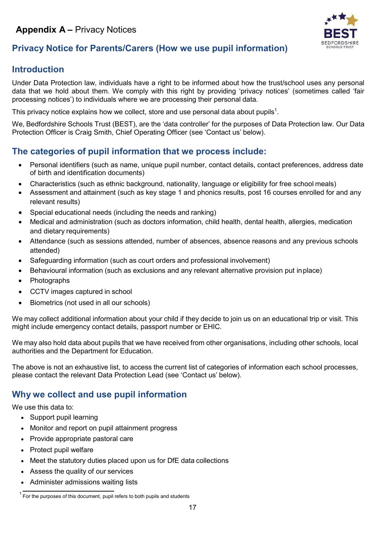# **Appendix A –** Privacy Notices



# **Privacy Notice for Parents/Carers (How we use pupil information)**

# **Introduction**

Under Data Protection law, individuals have a right to be informed about how the trust/school uses any personal data that we hold about them. We comply with this right by providing 'privacy notices' (sometimes called 'fair processing notices') to individuals where we are processing their personal data.

This privacy notice explains how we collect, store and use personal data about pupils $^{\rm 1}.$ 

We, Bedfordshire Schools Trust (BEST), are the 'data controller' for the purposes of Data Protection law. Our Data Protection Officer is Craig Smith, Chief Operating Officer (see 'Contact us' below).

# **The categories of pupil information that we process include:**

- Personal identifiers (such as name, unique pupil number, contact details, contact preferences, address date of birth and identification documents)
- Characteristics (such as ethnic background, nationality, language or eligibility for free school meals)
- Assessment and attainment (such as key stage 1 and phonics results, post 16 courses enrolled for and any relevant results)
- Special educational needs (including the needs and ranking)
- Medical and administration (such as doctors information, child health, dental health, allergies, medication and dietary requirements)
- Attendance (such as sessions attended, number of absences, absence reasons and any previous schools attended)
- Safeguarding information (such as court orders and professional involvement)
- Behavioural information (such as exclusions and any relevant alternative provision put inplace)
- **Photographs**
- CCTV images captured in school
- Biometrics (not used in all our schools)

We may collect additional information about your child if they decide to join us on an educational trip or visit. This might include emergency contact details, passport number or EHIC.

We may also hold data about pupils that we have received from other organisations, including other schools, local authorities and the Department for Education.

The above is not an exhaustive list, to access the current list of categories of information each school processes, please contact the relevant Data Protection Lead (see 'Contact us' below).

# **Why we collect and use pupil information**

We use this data to:

- Support pupil learning
- Monitor and report on pupil attainment progress
- Provide appropriate pastoral care
- Protect pupil welfare
- Meet the statutory duties placed upon us for DfE data collections
- Assess the quality of our services
- Administer admissions waiting lists

 $1$  For the purposes of this document, pupil refers to both pupils and students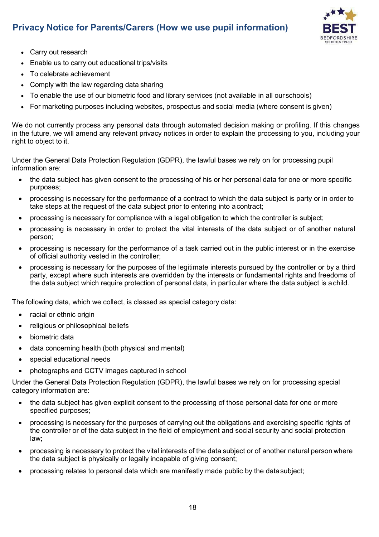

- Carry out research
- Enable us to carry out educational trips/visits
- To celebrate achievement
- Comply with the law regarding data sharing
- To enable the use of our biometric food and library services (not available in all ourschools)
- For marketing purposes including websites, prospectus and social media (where consent is given)

We do not currently process any personal data through automated decision making or profiling. If this changes in the future, we will amend any relevant privacy notices in order to explain the processing to you, including your right to object to it.

Under the General Data Protection Regulation (GDPR), the lawful bases we rely on for processing pupil information are:

- the data subject has given consent to the processing of his or her personal data for one or more specific purposes;
- processing is necessary for the performance of a contract to which the data subject is party or in order to take steps at the request of the data subject prior to entering into acontract;
- processing is necessary for compliance with a legal obligation to which the controller is subject;
- processing is necessary in order to protect the vital interests of the data subject or of another natural person;
- processing is necessary for the performance of a task carried out in the public interest or in the exercise of official authority vested in the controller;
- processing is necessary for the purposes of the legitimate interests pursued by the controller or by a third party, except where such interests are overridden by the interests or fundamental rights and freedoms of the data subject which require protection of personal data, in particular where the data subject is achild.

The following data, which we collect, is classed as special category data:

- racial or ethnic origin
- religious or philosophical beliefs
- biometric data
- data concerning health (both physical and mental)
- special educational needs
- photographs and CCTV images captured in school

Under the General Data Protection Regulation (GDPR), the lawful bases we rely on for processing special category information are:

- the data subject has given explicit consent to the processing of those personal data for one or more specified purposes;
- processing is necessary for the purposes of carrying out the obligations and exercising specific rights of the controller or of the data subject in the field of employment and social security and social protection law;
- processing is necessary to protect the vital interests of the data subject or of another natural person where the data subject is physically or legally incapable of giving consent;
- processing relates to personal data which are manifestly made public by the datasubject;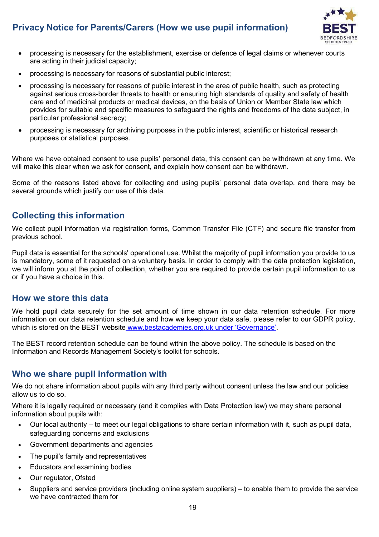

- processing is necessary for the establishment, exercise or defence of legal claims or whenever courts are acting in their judicial capacity;
- processing is necessary for reasons of substantial public interest;
- processing is necessary for reasons of public interest in the area of public health, such as protecting against serious cross-border threats to health or ensuring high standards of quality and safety of health care and of medicinal products or medical devices, on the basis of Union or Member State law which provides for suitable and specific measures to safeguard the rights and freedoms of the data subject, in particular professional secrecy;
- processing is necessary for archiving purposes in the public interest, scientific or historical research purposes or statistical purposes.

Where we have obtained consent to use pupils' personal data, this consent can be withdrawn at any time. We will make this clear when we ask for consent, and explain how consent can be withdrawn.

Some of the reasons listed above for collecting and using pupils' personal data overlap, and there may be several grounds which justify our use of this data.

# **Collecting this information**

We collect pupil information via registration forms, Common Transfer File (CTF) and secure file transfer from previous school.

Pupil data is essential for the schools' operational use. Whilst the majority of pupil information you provide to us is mandatory, some of it requested on a voluntary basis. In order to comply with the data protection legislation, we will inform you at the point of collection, whether you are required to provide certain pupil information to us or if you have a choice in this.

### **How we store this data**

We hold pupil data securely for the set amount of time shown in our data retention schedule. For more information on our data retention schedule and how we keep your data safe, please refer to our GDPR policy, which is stored on the BEST website [www.bestacademies.org.uk under 'G](http://www.bestacademies.org.ukunder/)overnance'.

The BEST record retention schedule can be found within the above policy. The schedule is based on the Information and Records Management Society's toolkit for schools.

### **Who we share pupil information with**

We do not share information about pupils with any third party without consent unless the law and our policies allow us to do so.

Where it is legally required or necessary (and it complies with Data Protection law) we may share personal information about pupils with:

- Our local authority to meet our legal obligations to share certain information with it, such as pupil data, safeguarding concerns and exclusions
- Government departments and agencies
- The pupil's family and representatives
- Educators and examining bodies
- Our regulator, Ofsted
- Suppliers and service providers (including online system suppliers) to enable them to provide the service we have contracted them for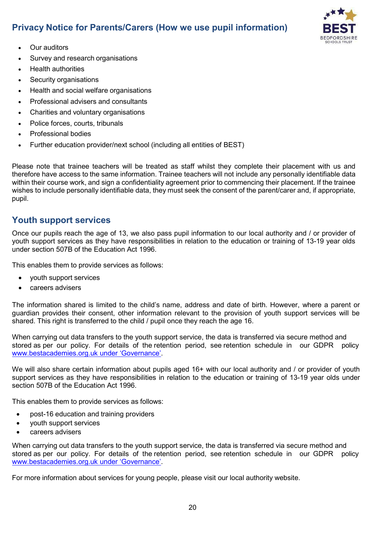

- Our auditors
- Survey and research organisations
- Health authorities
- Security organisations
- Health and social welfare organisations
- Professional advisers and consultants
- Charities and voluntary organisations
- Police forces, courts, tribunals
- Professional bodies
- Further education provider/next school (including all entities of BEST)

Please note that trainee teachers will be treated as staff whilst they complete their placement with us and therefore have access to the same information. Trainee teachers will not include any personally identifiable data within their course work, and sign a confidentiality agreement prior to commencing their placement. If the trainee wishes to include personally identifiable data, they must seek the consent of the parent/carer and, if appropriate, pupil.

### **Youth support services**

Once our pupils reach the age of 13, we also pass pupil information to our local authority and / or provider of youth support services as they have responsibilities in relation to the education or training of 13-19 year olds under section 507B of the Education Act 1996.

This enables them to provide services as follows:

- youth support services
- careers advisers

The information shared is limited to the child's name, address and date of birth. However, where a parent or guardian provides their consent, other information relevant to the provision of youth support services will be shared. This right is transferred to the child / pupil once they reach the age 16.

When carrying out data transfers to the youth support service, the data is transferred via secure method and stored as per our policy. For details of the retention period, see retention schedule in our GDPR policy [www.bestacademies.org.uk](http://www.bestacademies.org.ukunder/) under 'Governance'.

We will also share certain information about pupils aged 16+ with our local authority and / or provider of youth support services as they have responsibilities in relation to the education or training of 13-19 year olds under section 507B of the Education Act 1996.

This enables them to provide services as follows:

- post-16 education and training providers
- youth support services
- careers advisers

When carrying out data transfers to the youth support service, the data is transferred via secure method and stored as per our policy. For details of the retention period, see retention schedule in our GDPR policy [www.bestacademies.org.uk](http://www.bestacademies.org.ukunder/) under 'Governance'.

For more information about services for young people, please visit our local authority website.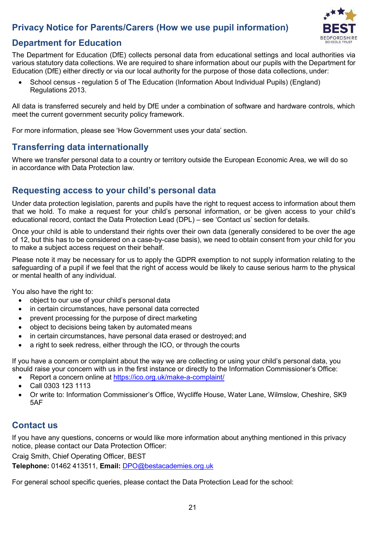

# **Department for Education**

The Department for Education (DfE) collects personal data from educational settings and local authorities via various statutory data collections. We are required to share information about our pupils with the Department for Education (DfE) either directly or via our local authority for the purpose of those data collections, under:

• School census - regulation 5 of The Education (Information About Individual Pupils) (England) Regulations 2013.

All data is transferred securely and held by DfE under a combination of software and hardware controls, which meet the current [government](https://www.gov.uk/government/publications/security-policy-framework) security policy framework.

For more information, please see 'How Government uses your data' section.

# **Transferring data internationally**

Where we transfer personal data to a country or territory outside the European Economic Area, we will do so in accordance with Data Protection law.

# **Requesting access to your child's personal data**

Under data protection legislation, parents and pupils have the right to request access to information about them that we hold. To make a request for your child's personal information, or be given access to your child's educational record, contact the Data Protection Lead (DPL) – see 'Contact us' section for details.

Once your child is able to understand their rights over their own data (generally considered to be over the age of 12, but this has to be considered on a case-by-case basis), we need to obtain consent from your child for you to make a subject access request on their behalf.

Please note it may be necessary for us to apply the GDPR exemption to not supply information relating to the safeguarding of a pupil if we feel that the right of access would be likely to cause serious harm to the physical or mental health of any individual.

You also have the right to:

- object to our use of your child's personal data
- in certain circumstances, have personal data corrected
- prevent processing for the purpose of direct marketing
- object to decisions being taken by automated means
- in certain circumstances, have personal data erased or destroyed; and
- a right to seek redress, either through the ICO, or through the courts

If you have a concern or complaint about the way we are collecting or using your child's personal data, you should raise your concern with us in the first instance or directly to the Information Commissioner's Office:

- Report a concern online at <https://ico.org.uk/make-a-complaint/>
- Call 0303 123 1113
- Or write to: Information Commissioner's Office, Wycliffe House, Water Lane, Wilmslow, Cheshire, SK9 5AF

### **Contact us**

If you have any questions, concerns or would like more information about anything mentioned in this privacy notice, please contact our Data Protection Officer:

Craig Smith, Chief Operating Officer, BEST

**Telephone:** 01462 413511, **Email:** [DPO@bestacademies.org.uk](mailto:DPO@bestacademies.org.uk)

For general school specific queries, please contact the Data Protection Lead for the school: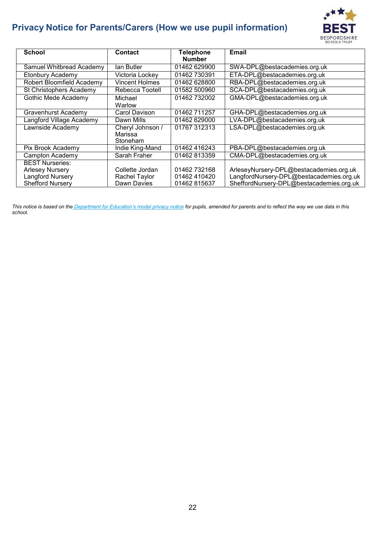

| <b>School</b>             | Contact          | <b>Telephone</b> | Email                                    |
|---------------------------|------------------|------------------|------------------------------------------|
|                           |                  | <b>Number</b>    |                                          |
| Samuel Whitbread Academy  | lan Butler       | 01462 629900     | SWA-DPL@bestacademies.org.uk             |
| Etonbury Academy          | Victoria Lockey  | 01462 730391     | ETA-DPL@bestacademies.org.uk             |
| Robert Bloomfield Academy | Vincent Holmes   | 01462 628800     | RBA-DPL@bestacademies.org.uk             |
| St Christophers Academy   | Rebecca Tootell  | 01582 500960     | SCA-DPL@bestacademies.org.uk             |
| Gothic Mede Academy       | Michael          | 01462 732002     | GMA-DPL@bestacademies.org.uk             |
|                           | Warlow           |                  |                                          |
| Gravenhurst Academy       | Carol Davison    | 01462 711257     | GHA-DPL@bestacademies.org.uk             |
| Langford Village Academy  | Dawn Mills       | 01462 629000     | LVA-DPL@bestacademies.org.uk             |
| Lawnside Academy          | Cheryl Johnson / | 01767 312313     | LSA-DPL@bestacademies.org.uk             |
|                           | Marissa          |                  |                                          |
|                           | Stoneham         |                  |                                          |
| Pix Brook Academy         | Indie King-Mand  | 01462 416243     | PBA-DPL@bestacademies.org.uk             |
| Campton Academy           | Sarah Fraher     | 01462 813359     | CMA-DPL@bestacademies.org.uk             |
| <b>BEST Nurseries:</b>    |                  |                  |                                          |
| <b>Arlesey Nursery</b>    | Collette Jordan  | 01462 732168     | ArleseyNursery-DPL@bestacademies.org.uk  |
| Langford Nursery          | Rachel Taylor    | 01462 410420     | LangfordNursery-DPL@bestacademies.org.uk |
| Shefford Nursery          | Dawn Davies      | 01462 815637     | SheffordNursery-DPL@bestacademies.org.uk |

*This notice is based on the Department for Education's model privacy notice for pupils, amended for parents and to reflect the way we use data in this school.*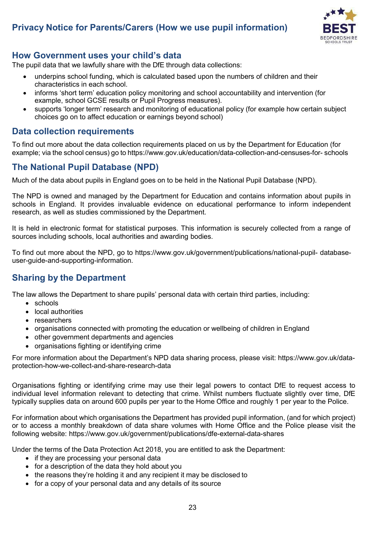

### **How Government uses your child's data**

The pupil data that we lawfully share with the DfE through data collections:

- underpins school funding, which is calculated based upon the numbers of children and their characteristics in each school.
- informs 'short term' education policy monitoring and school accountability and intervention (for example, school GCSE results or Pupil Progress measures).
- supports 'longer term' research and monitoring of educational policy (for example how certain subject choices go on to affect education or earnings beyond school)

### **Data collection requirements**

To find out more about the data collection requirements placed on us by the Department for Education (for example; via the school census) go to [https://www.gov.uk/education/data-collection-and-censuses-for-](https://www.gov.uk/education/data-collection-and-censuses-for-schools) [schools](https://www.gov.uk/education/data-collection-and-censuses-for-schools)

# **The National Pupil Database (NPD)**

Much of the data about pupils in England goes on to be held in the National Pupil Database (NPD).

The NPD is owned and managed by the Department for Education and contains information about pupils in schools in England. It provides invaluable evidence on educational performance to inform independent research, as well as studies commissioned by the Department.

It is held in electronic format for statistical purposes. This information is securely collected from a range of sources including schools, local authorities and awarding bodies.

To find out more about the NPD, go to [https://www.gov.uk/government/publications/national-pupil-](https://www.gov.uk/government/publications/national-pupil-database-user-guide-and-supporting-information) [database](https://www.gov.uk/government/publications/national-pupil-database-user-guide-and-supporting-information)[user-guide-and-supporting-information.](https://www.gov.uk/government/publications/national-pupil-database-user-guide-and-supporting-information)

# **Sharing by the Department**

The law allows the Department to share pupils' personal data with certain third parties, including:

- schools
- local authorities
- researchers
- organisations connected with promoting the education or wellbeing of children in England
- other government departments and agencies
- organisations fighting or identifying crime

For more information about the Department's NPD data sharing process, please visit: [https://www.gov.uk/data](https://www.gov.uk/data-protection-how-we-collect-and-share-research-data)[protection-how-we-collect-and-share-research-data](https://www.gov.uk/data-protection-how-we-collect-and-share-research-data)

Organisations fighting or identifying crime may use their legal powers to contact DfE to request access to individual level information relevant to detecting that crime. Whilst numbers fluctuate slightly over time, DfE typically supplies data on around 600 pupils per year to the Home Office and roughly 1 per year to the Police.

For information about which organisations the Department has provided pupil information, (and for which project) or to access a monthly breakdown of data share volumes with Home Office and the Police please visit the following website: <https://www.gov.uk/government/publications/dfe-external-data-shares>

Under the terms of the Data Protection Act 2018, you are entitled to ask the Department:

- if they are processing your personal data
- for a description of the data they hold about you
- the reasons they're holding it and any recipient it may be disclosed to
- for a copy of your personal data and any details of its source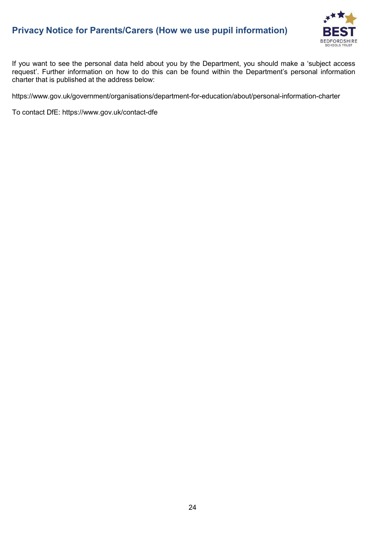

If you want to see the personal data held about you by the Department, you should make a 'subject access request'. Further information on how to do this can be found within the Department's personal information charter that is published at the address below:

https:[//www.gov.uk/government/organisations/department-for-education/about/personal-information-charter](http://www.gov.uk/government/organisations/department-for-education/about/personal-information-charter)

To contact DfE:<https://www.gov.uk/contact-dfe>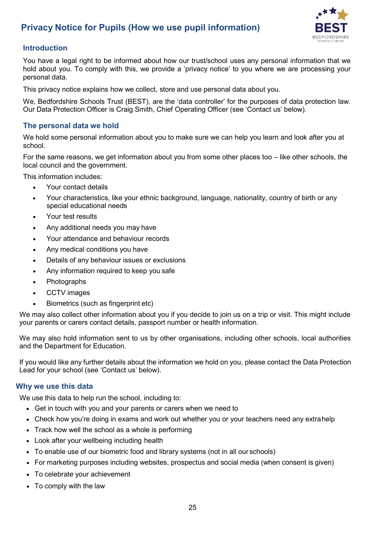

### **Introduction**

You have a legal right to be informed about how our trust/school uses any personal information that we hold about you. To comply with this, we provide a 'privacy notice' to you where we are processing your personal data.

This privacy notice explains how we collect, store and use personal data about you.

We, Bedfordshire Schools Trust (BEST), are the 'data controller' for the purposes of data protection law. Our Data Protection Officer is Craig Smith, Chief Operating Officer (see 'Contact us' below).

#### **The personal data we hold**

We hold some personal information about you to make sure we can help you learn and look after you at school.

For the same reasons, we get information about you from some other places too – like other schools, the local council and the government.

This information includes:

- Your contact details
- Your characteristics, like your ethnic background, language, nationality, country of birth or any special educational needs
- Your test results
- Any additional needs you may have
- Your attendance and behaviour records
- Any medical conditions you have
- Details of any behaviour issues or exclusions
- Any information required to keep you safe
- **Photographs**
- CCTV images
- Biometrics (such as fingerprint etc)

We may also collect other information about you if you decide to join us on a trip or visit. This might include your parents or carers contact details, passport number or health information.

We may also hold information sent to us by other organisations, including other schools, local authorities and the Department for Education.

If you would like any further details about the information we hold on you, please contact the Data Protection Lead for your school (see 'Contact us' below).

#### **Why we use this data**

We use this data to help run the school, including to:

- Get in touch with you and your parents or carers when we need to
- Check how you're doing in exams and work out whether you or your teachers need any extrahelp
- Track how well the school as a whole is performing
- Look after your wellbeing including health
- To enable use of our biometric food and library systems (not in all our schools)
- For marketing purposes including websites, prospectus and social media (when consent is given)
- To celebrate your achievement
- To comply with the law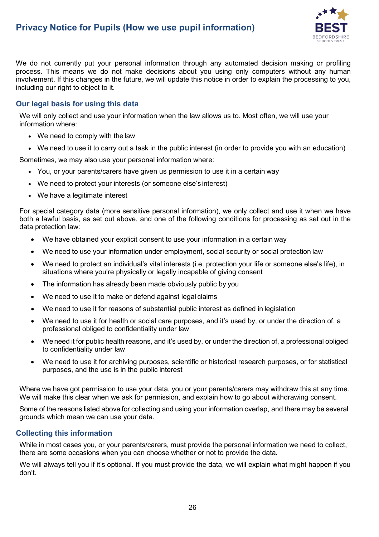

We do not currently put your personal information through any automated decision making or profiling process. This means we do not make decisions about you using only computers without any human involvement. If this changes in the future, we will update this notice in order to explain the processing to you, including our right to object to it.

### **Our legal basis for using this data**

We will only collect and use your information when the law allows us to. Most often, we will use your information where:

- We need to comply with the law
- We need to use it to carry out a task in the public interest (in order to provide you with an education)

Sometimes, we may also use your personal information where:

- You, or your parents/carers have given us permission to use it in a certain way
- We need to protect your interests (or someone else's interest)
- We have a legitimate interest

For special category data (more sensitive personal information), we only collect and use it when we have both a lawful basis, as set out above, and one of the following conditions for processing as set out in the data protection law:

- We have obtained your explicit consent to use your information in a certain way
- We need to use your information under employment, social security or social protection law
- We need to protect an individual's vital interests (i.e. protection your life or someone else's life), in situations where you're physically or legally incapable of giving consent
- The information has already been made obviously public by you
- We need to use it to make or defend against legal claims
- We need to use it for reasons of substantial public interest as defined in legislation
- We need to use it for health or social care purposes, and it's used by, or under the direction of, a professional obliged to confidentiality under law
- We need it for public health reasons, and it's used by, or under the direction of, a professional obliged to confidentiality under law
- We need to use it for archiving purposes, scientific or historical research purposes, or for statistical purposes, and the use is in the public interest

Where we have got permission to use your data, you or your parents/carers may withdraw this at any time. We will make this clear when we ask for permission, and explain how to go about withdrawing consent.

Some of the reasons listed above for collecting and using your information overlap, and there may be several grounds which mean we can use your data.

#### **Collecting this information**

While in most cases you, or your parents/carers, must provide the personal information we need to collect, there are some occasions when you can choose whether or not to provide the data.

We will always tell you if it's optional. If you must provide the data, we will explain what might happen if you don't.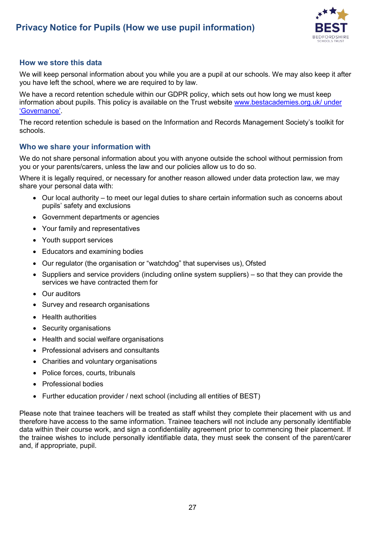

#### **How we store this data**

We will keep personal information about you while you are a pupil at our schools. We may also keep it after you have left the school, where we are required to by law.

We have a record retention schedule within our GDPR policy, which sets out how long we must keep information about pupils. This policy is available on the Trust website [www.bestacademies.org.uk/ under](http://www.bestacademies.org.uk/under) 'Governance'.

The record retention schedule is based on the Information and Records Management Society's toolkit for schools.

#### **Who we share your information with**

We do not share personal information about you with anyone outside the school without permission from you or your parents/carers, unless the law and our policies allow us to do so.

Where it is legally required, or necessary for another reason allowed under data protection law, we may share your personal data with:

- Our local authority to meet our legal duties to share certain information such as concerns about pupils' safety and exclusions
- Government departments or agencies
- Your family and representatives
- Youth support services
- Educators and examining bodies
- Our regulator (the organisation or "watchdog" that supervises us), Ofsted
- Suppliers and service providers (including online system suppliers) so that they can provide the services we have contracted them for
- Our auditors
- Survey and research organisations
- Health authorities
- Security organisations
- Health and social welfare organisations
- Professional advisers and consultants
- Charities and voluntary organisations
- Police forces, courts, tribunals
- Professional bodies
- Further education provider / next school (including all entities of BEST)

Please note that trainee teachers will be treated as staff whilst they complete their placement with us and therefore have access to the same information. Trainee teachers will not include any personally identifiable data within their course work, and sign a confidentiality agreement prior to commencing their placement. If the trainee wishes to include personally identifiable data, they must seek the consent of the parent/carer and, if appropriate, pupil.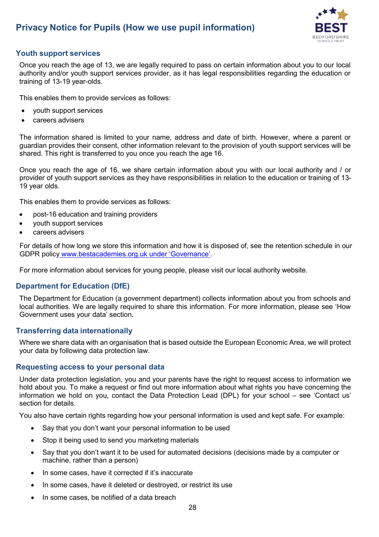

### **Youth support services**

Once you reach the age of 13, we are legally required to pass on certain information about you to our local authority and/or youth support services provider, as it has legal responsibilities regarding the education or training of 13-19 year-olds.

This enables them to provide services as follows:

- youth support services
- careers advisers

The information shared is limited to your name, address and date of birth. However, where a parent or guardian provides their consent, other information relevant to the provision of youth support services will be shared. This right is transferred to you once you reach the age 16.

Once you reach the age of 16, we share certain information about you with our local authority and / or provider of youth support services as they have responsibilities in relation to the education or training of 13- 19 year olds.

This enables them to provide services as follows:

- post-16 education and training providers
- youth support services
- careers advisers

For details of how long we store this information and how it is disposed of, see the retention schedule in our GDPR policy [www.bestacademies.org.uk](http://www.bestacademies.org.ukunder/) under 'Governance'.

For more information about services for young people, please visit our local authority website.

### **Department for Education (DfE)**

The Department for Education (a government department) collects information about you from schools and local authorities. We are legally required to share this information. For more information, please see 'How Government uses your data' section.

### **Transferring data internationally**

Where we share data with an organisation that is based outside the European Economic Area, we will protect your data by following data protection law.

#### **Requesting access to your personal data**

Under data protection legislation, you and your parents have the right to request access to information we hold about you. To make a request or find out more information about what rights you have concerning the information we hold on you, contact the Data Protection Lead (DPL) for your school – see 'Contact us' section for details.

You also have certain rights regarding how your personal information is used and kept safe. For example:

- Say that you don't want your personal information to be used
- Stop it being used to send you marketing materials
- Say that you don't want it to be used for automated decisions (decisions made by a computer or machine, rather than a person)
- In some cases, have it corrected if it's inaccurate
- In some cases, have it deleted or destroyed, or restrict its use
- In some cases, be notified of a data breach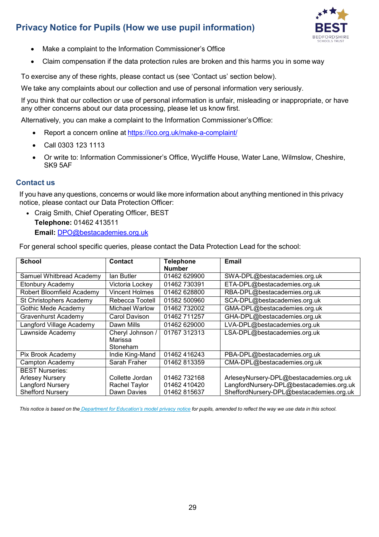

- Make a complaint to the Information Commissioner's Office
- Claim compensation if the data protection rules are broken and this harms you in some way

To exercise any of these rights, please contact us (see 'Contact us' section below).

We take any complaints about our collection and use of personal information very seriously.

If you think that our collection or use of personal information is unfair, misleading or inappropriate, or have any other concerns about our data processing, please let us know first.

Alternatively, you can make a complaint to the Information Commissioner'sOffice:

- Report a concern online at <https://ico.org.uk/make-a-complaint/>
- Call 0303 123 1113
- Or write to: Information Commissioner's Office, Wycliffe House, Water Lane, Wilmslow, Cheshire, SK9 5AF

#### **Contact us**

If you have any questions, concerns or would like more information about anything mentioned in this privacy notice, please contact our Data Protection Officer:

• Craig Smith, Chief Operating Officer, BEST **Telephone:** 01462 413511 **Email:** [DPO@bestacademies.org.uk](mailto:DPO@bestacademies.org.uk)

For general school specific queries, please contact the Data Protection Lead for the school:

| <b>School</b>             | <b>Contact</b>        | <b>Telephone</b> | Email                                    |
|---------------------------|-----------------------|------------------|------------------------------------------|
|                           |                       | <b>Number</b>    |                                          |
| Samuel Whitbread Academy  | lan Butler            | 01462 629900     | SWA-DPL@bestacademies.org.uk             |
| Etonbury Academy          | Victoria Lockey       | 01462730391      | ETA-DPL@bestacademies.org.uk             |
| Robert Bloomfield Academy | <b>Vincent Holmes</b> | 01462 628800     | RBA-DPL@bestacademies.org.uk             |
| St Christophers Academy   | Rebecca Tootell       | 01582 500960     | SCA-DPL@bestacademies.org.uk             |
| Gothic Mede Academy       | Michael Warlow        | 01462732002      | GMA-DPL@bestacademies.org.uk             |
| Gravenhurst Academy       | Carol Davison         | 01462 711257     | GHA-DPL@bestacademies.org.uk             |
| Langford Village Academy  | Dawn Mills            | 01462 629000     | LVA-DPL@bestacademies.org.uk             |
| Lawnside Academy          | Cheryl Johnson /      | 01767 312313     | LSA-DPL@bestacademies.org.uk             |
|                           | Marissa               |                  |                                          |
|                           | Stoneham              |                  |                                          |
| Pix Brook Academy         | Indie King-Mand       | 01462416243      | PBA-DPL@bestacademies.org.uk             |
| Campton Academy           | Sarah Fraher          | 01462 813359     | CMA-DPL@bestacademies.org.uk             |
| <b>BEST Nurseries:</b>    |                       |                  |                                          |
| <b>Arlesey Nursery</b>    | Collette Jordan       | 01462 732168     | ArleseyNursery-DPL@bestacademies.org.uk  |
| Langford Nursery          | Rachel Taylor         | 01462 410420     | LangfordNursery-DPL@bestacademies.org.uk |
| <b>Shefford Nursery</b>   | Dawn Davies           | 01462 815637     | SheffordNursery-DPL@bestacademies.org.uk |

This notice is based on the Department for Education's model privacy notice for pupils, amended to reflect the way we use data in this school.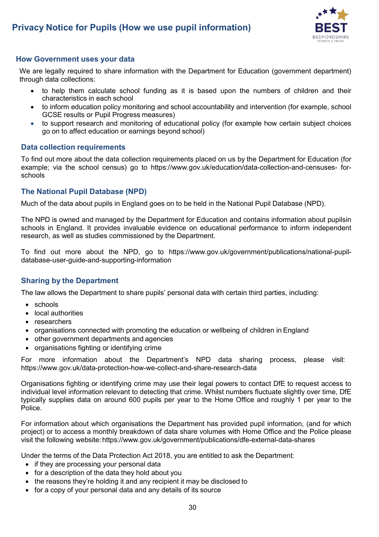

#### **How Government uses your data**

We are legally required to share information with the Department for Education (government department) through data collections:

- to help them calculate school funding as it is based upon the numbers of children and their characteristics in each school
- to inform education policy monitoring and school accountability and intervention (for example, school GCSE results or Pupil Progress measures)
- to support research and monitoring of educational policy (for example how certain subject choices go on to affect education or earnings beyond school)

#### **Data collection requirements**

To find out more about the data collection requirements placed on us by the Department for Education (for example; via the school census) go to [https://www.gov.uk/education/data-collection-and-censuses-](https://www.gov.uk/education/data-collection-and-censuses-for-schools) [for](https://www.gov.uk/education/data-collection-and-censuses-for-schools)[schools](https://www.gov.uk/education/data-collection-and-censuses-for-schools)

#### **The National Pupil Database (NPD)**

Much of the data about pupils in England goes on to be held in the National Pupil Database (NPD).

The NPD is owned and managed by the Department for Education and contains information about pupilsin schools in England. It provides invaluable evidence on educational performance to inform independent research, as well as studies commissioned by the Department.

To find out more about the NPD, go to [https://www.gov.uk/government/publications/national-pupil](https://www.gov.uk/government/publications/national-pupil-database-user-guide-and-supporting-information)[database-user-guide-and-supporting-information](https://www.gov.uk/government/publications/national-pupil-database-user-guide-and-supporting-information)

#### **Sharing by the Department**

The law allows the Department to share pupils' personal data with certain third parties, including:

- schools
- local authorities
- researchers
- organisations connected with promoting the education or wellbeing of children in England
- other government departments and agencies
- organisations fighting or identifying crime

For more information about the Department's NPD data sharing process, please visit: <https://www.gov.uk/data-protection-how-we-collect-and-share-research-data>

Organisations fighting or identifying crime may use their legal powers to contact DfE to request access to individual level information relevant to detecting that crime. Whilst numbers fluctuate slightly over time, DfE typically supplies data on around 600 pupils per year to the Home Office and roughly 1 per year to the Police.

For information about which organisations the Department has provided pupil information, (and for which project) or to access a monthly breakdown of data share volumes with Home Office and the Police please visit the following website: <https://www.gov.uk/government/publications/dfe-external-data-shares>

Under the terms of the Data Protection Act 2018, you are entitled to ask the Department:

- if they are processing your personal data
- for a description of the data they hold about you
- the reasons they're holding it and any recipient it may be disclosed to
- for a copy of your personal data and any details of its source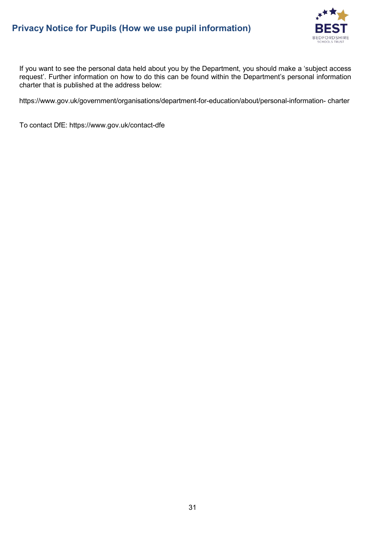

If you want to see the personal data held about you by the Department, you should make a 'subject access request'. Further information on how to do this can be found within the Department's personal information charter that is published at the address below:

https:[//www.gov.uk/government/organisations/department-for-education/about/personal-information-](http://www.gov.uk/government/organisations/department-for-education/about/personal-information-) charter

To contact DfE: <https://www.gov.uk/contact-dfe>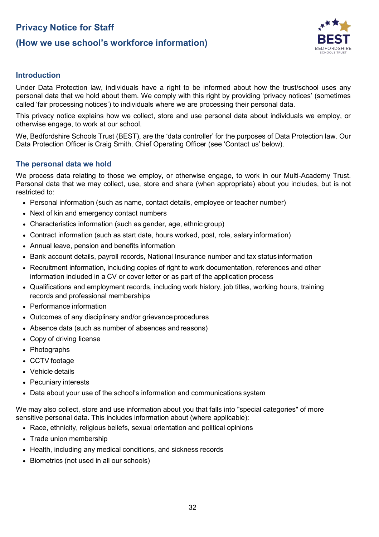# **(How we use school's workforce information)**



### **Introduction**

Under Data Protection law, individuals have a right to be informed about how the trust/school uses any personal data that we hold about them. We comply with this right by providing 'privacy notices' (sometimes called 'fair processing notices') to individuals where we are processing their personal data.

This privacy notice explains how we collect, store and use personal data about individuals we employ, or otherwise engage, to work at our school.

We, Bedfordshire Schools Trust (BEST), are the 'data controller' for the purposes of Data Protection law. Our Data Protection Officer is Craig Smith, Chief Operating Officer (see 'Contact us' below).

### **The personal data we hold**

We process data relating to those we employ, or otherwise engage, to work in our Multi-Academy Trust. Personal data that we may collect, use, store and share (when appropriate) about you includes, but is not restricted to:

- Personal information (such as name, contact details, employee or teacher number)
- Next of kin and emergency contact numbers
- Characteristics information (such as gender, age, ethnic group)
- Contract information (such as start date, hours worked, post, role, salary information)
- Annual leave, pension and benefits information
- Bank account details, payroll records, National Insurance number and tax status information
- Recruitment information, including copies of right to work documentation, references and other information included in a CV or cover letter or as part of the application process
- Qualifications and employment records, including work history, job titles, working hours, training records and professional memberships
- Performance information
- Outcomes of any disciplinary and/or grievance procedures
- Absence data (such as number of absences and reasons)
- Copy of driving license
- Photographs
- CCTV footage
- Vehicle details
- Pecuniary interests
- Data about your use of the school's information and communications system

We may also collect, store and use information about you that falls into "special categories" of more sensitive personal data. This includes information about (where applicable):

- Race, ethnicity, religious beliefs, sexual orientation and political opinions
- Trade union membership
- Health, including any medical conditions, and sickness records
- Biometrics (not used in all our schools)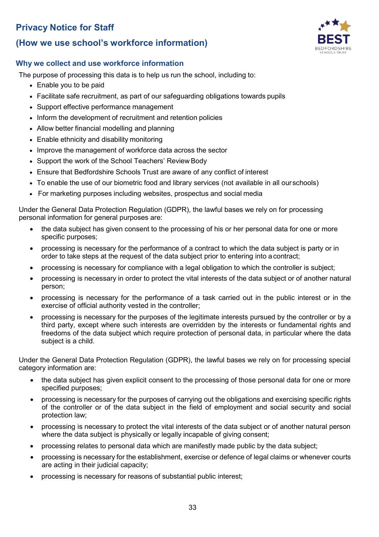# **(How we use school's workforce information)**



### **Why we collect and use workforce information**

The purpose of processing this data is to help us run the school, including to:

- Enable you to be paid
- Facilitate safe recruitment, as part of our safeguarding obligations towards pupils
- Support effective performance management
- Inform the development of recruitment and retention policies
- Allow better financial modelling and planning
- Enable ethnicity and disability monitoring
- Improve the management of workforce data across the sector
- Support the work of the School Teachers' Review Body
- Ensure that Bedfordshire Schools Trust are aware of any conflict of interest
- To enable the use of our biometric food and library services (not available in all ourschools)
- For marketing purposes including websites, prospectus and social media

Under the General Data Protection Regulation (GDPR), the lawful bases we rely on for processing personal information for general purposes are:

- the data subject has given consent to the processing of his or her personal data for one or more specific purposes;
- processing is necessary for the performance of a contract to which the data subject is party or in order to take steps at the request of the data subject prior to entering into acontract;
- processing is necessary for compliance with a legal obligation to which the controller is subject;
- processing is necessary in order to protect the vital interests of the data subject or of another natural person;
- processing is necessary for the performance of a task carried out in the public interest or in the exercise of official authority vested in the controller;
- processing is necessary for the purposes of the legitimate interests pursued by the controller or by a third party, except where such interests are overridden by the interests or fundamental rights and freedoms of the data subject which require protection of personal data, in particular where the data subject is a child.

Under the General Data Protection Regulation (GDPR), the lawful bases we rely on for processing special category information are:

- the data subject has given explicit consent to the processing of those personal data for one or more specified purposes;
- processing is necessary for the purposes of carrying out the obligations and exercising specific rights of the controller or of the data subject in the field of employment and social security and social protection law;
- processing is necessary to protect the vital interests of the data subject or of another natural person where the data subject is physically or legally incapable of giving consent;
- processing relates to personal data which are manifestly made public by the data subject;
- processing is necessary for the establishment, exercise or defence of legal claims or whenever courts are acting in their judicial capacity;
- processing is necessary for reasons of substantial public interest;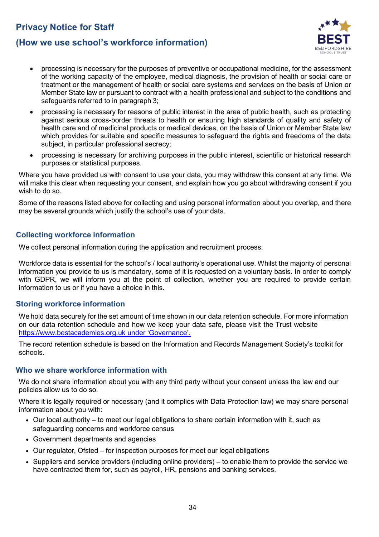# **(How we use school's workforce information)**



- processing is necessary for the purposes of preventive or occupational medicine, for the assessment of the working capacity of the employee, medical diagnosis, the provision of health or social care or treatment or the management of health or social care systems and services on the basis of Union or Member State law or pursuant to contract with a health professional and subject to the conditions and safeguards referred to in paragraph 3;
- processing is necessary for reasons of public interest in the area of public health, such as protecting against serious cross-border threats to health or ensuring high standards of quality and safety of health care and of medicinal products or medical devices, on the basis of Union or Member State law which provides for suitable and specific measures to safeguard the rights and freedoms of the data subject, in particular professional secrecy;
- processing is necessary for archiving purposes in the public interest, scientific or historical research purposes or statistical purposes.

Where you have provided us with consent to use your data, you may withdraw this consent at any time. We will make this clear when requesting your consent, and explain how you go about withdrawing consent if you wish to do so.

Some of the reasons listed above for collecting and using personal information about you overlap, and there may be several grounds which justify the school's use of your data.

### **Collecting workforce information**

We collect personal information during the application and recruitment process.

Workforce data is essential for the school's / local authority's operational use. Whilst the majority of personal information you provide to us is mandatory, some of it is requested on a voluntary basis. In order to comply with GDPR, we will inform you at the point of collection, whether you are required to provide certain information to us or if you have a choice in this.

#### **Storing workforce information**

We hold data securely for the set amount of time shown in our data retention schedule. For more information on our data retention schedule and how we keep your data safe, please visit the Trust website https:/[/www.bestacademies.org.uk](http://www.bestacademies.org.ukunder/) under 'Governance'.

The record retention schedule is based on the Information and Records Management Society's toolkit for schools.

#### **Who we share workforce information with**

We do not share information about you with any third party without your consent unless the law and our policies allow us to do so.

Where it is legally required or necessary (and it complies with Data Protection law) we may share personal information about you with:

- Our local authority to meet our legal obligations to share certain information with it, such as safeguarding concerns and workforce census
- Government departments and agencies
- Our regulator, Ofsted for inspection purposes for meet our legal obligations
- Suppliers and service providers (including online providers) to enable them to provide the service we have contracted them for, such as payroll, HR, pensions and banking services.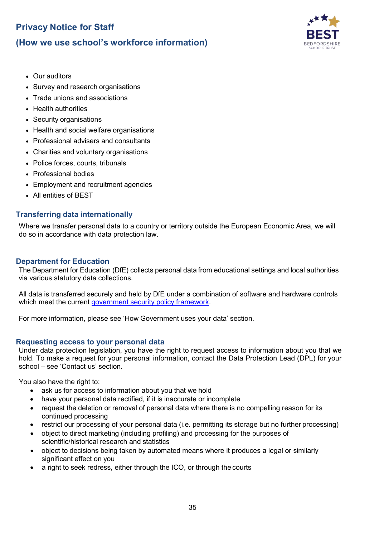# **(How we use school's workforce information)**



- Our auditors
- Survey and research organisations
- Trade unions and associations
- Health authorities
- Security organisations
- Health and social welfare organisations
- Professional advisers and consultants
- Charities and voluntary organisations
- Police forces, courts, tribunals
- Professional bodies
- Employment and recruitment agencies
- All entities of BEST

#### **Transferring data internationally**

Where we transfer personal data to a country or territory outside the European Economic Area, we will do so in accordance with data protection law.

#### **Department for Education**

The Department for Education (DfE) collects personal data from educational settings and local authorities via various statutory data collections.

All data is transferred securely and held by DfE under a combination of software and hardware controls which meet the current [government](https://www.gov.uk/government/publications/security-policy-framework) security policy framework.

For more information, please see 'How Government uses your data' section.

#### **Requesting access to your personal data**

Under data protection legislation, you have the right to request access to information about you that we hold. To make a request for your personal information, contact the Data Protection Lead (DPL) for your school – see 'Contact us' section.

You also have the right to:

- ask us for access to information about you that we hold
- have your personal data rectified, if it is inaccurate or incomplete
- request the deletion or removal of personal data where there is no compelling reason for its continued processing
- restrict our processing of your personal data (i.e. permitting its storage but no further processing)
- object to direct marketing (including profiling) and processing for the purposes of scientific/historical research and statistics
- object to decisions being taken by automated means where it produces a legal or similarly significant effect on you
- a right to seek redress, either through the ICO, or through the courts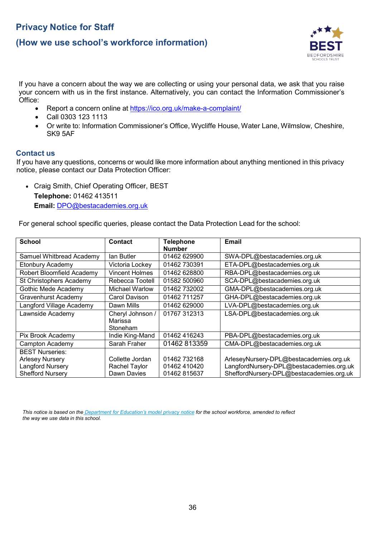# **(How we use school's workforce information)**



If you have a concern about the way we are collecting or using your personal data, we ask that you raise your concern with us in the first instance. Alternatively, you can contact the Information Commissioner's Office:

- Report a concern online at <https://ico.org.uk/make-a-complaint/>
- Call 0303 123 1113
- Or write to: Information Commissioner's Office, Wycliffe House, Water Lane, Wilmslow, Cheshire, SK9 5AF

#### **Contact us**

If you have any questions, concerns or would like more information about anything mentioned in this privacy notice, please contact our Data Protection Officer:

• Craig Smith, Chief Operating Officer, BEST **Telephone:** 01462 413511 **Email:** [DPO@bestacademies.org.uk](mailto:DPO@bestacademies.org.uk)

For general school specific queries, please contact the Data Protection Lead for the school:

| <b>School</b>             | <b>Contact</b>                          | <b>Telephone</b><br><b>Number</b> | <b>Email</b>                             |
|---------------------------|-----------------------------------------|-----------------------------------|------------------------------------------|
| Samuel Whitbread Academy  | lan Butler                              | 01462 629900                      | SWA-DPL@bestacademies.org.uk             |
| <b>Etonbury Academy</b>   | Victoria Lockey                         | 01462 730391                      | ETA-DPL@bestacademies.org.uk             |
| Robert Bloomfield Academy | Vincent Holmes                          | 01462 628800                      | RBA-DPL@bestacademies.org.uk             |
| St Christophers Academy   | Rebecca Tootell                         | 01582 500960                      | SCA-DPL@bestacademies.org.uk             |
| Gothic Mede Academy       | <b>Michael Warlow</b>                   | 01462 732002                      | GMA-DPL@bestacademies.org.uk             |
| Gravenhurst Academy       | Carol Davison                           | 01462 711257                      | GHA-DPL@bestacademies.org.uk             |
| Langford Village Academy  | Dawn Mills                              | 01462 629000                      | LVA-DPL@bestacademies.org.uk             |
| Lawnside Academy          | Cheryl Johnson /<br>Marissa<br>Stoneham | 01767 312313                      | LSA-DPL@bestacademies.org.uk             |
| Pix Brook Academy         | Indie King-Mand                         | 01462416243                       | PBA-DPL@bestacademies.org.uk             |
| Campton Academy           | Sarah Fraher                            | 01462 813359                      | CMA-DPL@bestacademies.org.uk             |
| <b>BEST Nurseries:</b>    |                                         |                                   |                                          |
| <b>Arlesey Nursery</b>    | Collette Jordan                         | 01462 732168                      | ArleseyNursery-DPL@bestacademies.org.uk  |
| Langford Nursery          | Rachel Taylor                           | 01462 410420                      | LangfordNursery-DPL@bestacademies.org.uk |
| <b>Shefford Nursery</b>   | Dawn Davies                             | 01462 815637                      | SheffordNursery-DPL@bestacademies.org.uk |

*This notice is based on the Department for Education's model privacy notice for the school workforce, amended to reflect the way we use data in this school.*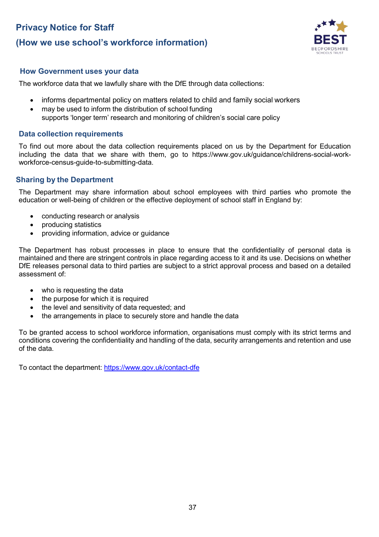## **Privacy Notice for Staff**

## **(How we use school's workforce information)**



### **How Government uses your data**

The workforce data that we lawfully share with the DfE through data collections:

- informs departmental policy on matters related to child and family social workers
- may be used to inform the distribution of school funding supports 'longer term' research and monitoring of children's social care policy

### **Data collection requirements**

To find out more about the data collection requirements placed on us by the Department for Education including the data that we share with them, go to https:/[/www.gov.uk/guidance/childrens-social-work](http://www.gov.uk/guidance/childrens-social-work-)workforce-census-guide-to-submitting-data.

### **Sharing by the Department**

The Department may share information about school employees with third parties who promote the education or well-being of children or the effective deployment of school staff in England by:

- conducting research or analysis
- producing statistics
- providing information, advice or guidance

The Department has robust processes in place to ensure that the confidentiality of personal data is maintained and there are stringent controls in place regarding access to it and its use. Decisions on whether DfE releases personal data to third parties are subject to a strict approval process and based on a detailed assessment of:

- who is requesting the data
- the purpose for which it is required
- the level and sensitivity of data requested; and
- the arrangements in place to securely store and handle the data

To be granted access to school workforce information, organisations must comply with its strict terms and conditions covering the confidentiality and handling of the data, security arrangements and retention and use of the data.

To contact the department: <https://www.gov.uk/contact-dfe>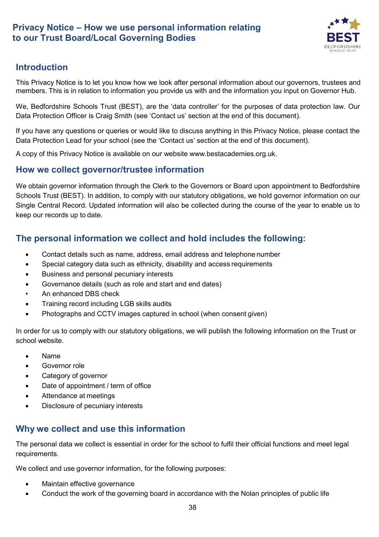

## **Introduction**

This Privacy Notice is to let you know how we look after personal information about our governors, trustees and members. This is in relation to information you provide us with and the information you input on Governor Hub.

We, Bedfordshire Schools Trust (BEST), are the 'data controller' for the purposes of data protection law. Our Data Protection Officer is Craig Smith (see 'Contact us' section at the end of this document).

If you have any questions or queries or would like to discuss anything in this Privacy Notice, please contact the Data Protection Lead for your school (see the 'Contact us' section at the end of this document).

A copy of this Privacy Notice is available on our website [www.bestacademies.org.uk.](http://www.bestacademies.org.uk/)

## **How we collect governor/trustee information**

We obtain governor information through the Clerk to the Governors or Board upon appointment to Bedfordshire Schools Trust (BEST). In addition, to comply with our statutory obligations, we hold governor information on our Single Central Record. Updated information will also be collected during the course of the year to enable us to keep our records up to date.

## **The personal information we collect and hold includes the following:**

- Contact details such as name, address, email address and telephone number
- Special category data such as ethnicity, disability and access requirements
- Business and personal pecuniary interests
- Governance details (such as role and start and end dates)
- An enhanced DBS check
- Training record including LGB skills audits
- Photographs and CCTV images captured in school (when consent given)

In order for us to comply with our statutory obligations, we will publish the following information on the Trust or school website.

- Name
- Governor role
- Category of governor
- Date of appointment / term of office
- Attendance at meetings
- Disclosure of pecuniary interests

## **Why we collect and use this information**

The personal data we collect is essential in order for the school to fulfil their official functions and meet legal requirements.

We collect and use governor information, for the following purposes:

- Maintain effective governance
- Conduct the work of the governing board in accordance with the Nolan principles of public life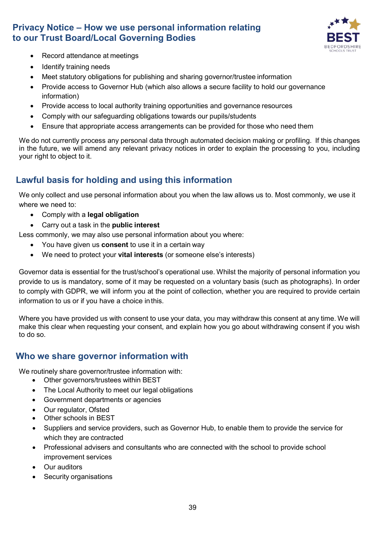

- Record attendance at meetings
- Identify training needs
- Meet statutory obligations for publishing and sharing governor/trustee information
- Provide access to Governor Hub (which also allows a secure facility to hold our governance information)
- Provide access to local authority training opportunities and governance resources
- Comply with our safeguarding obligations towards our pupils/students
- Ensure that appropriate access arrangements can be provided for those who need them

We do not currently process any personal data through automated decision making or profiling. If this changes in the future, we will amend any relevant privacy notices in order to explain the processing to you, including your right to object to it.

# **Lawful basis for holding and using this information**

We only collect and use personal information about you when the law allows us to. Most commonly, we use it where we need to:

- Comply with a **legal obligation**
- Carry out a task in the **public interest**

Less commonly, we may also use personal information about you where:

- You have given us **consent** to use it in a certain way
- We need to protect your **vital interests** (or someone else's interests)

Governor data is essential for the trust/school's operational use. Whilst the majority of personal information you provide to us is mandatory, some of it may be requested on a voluntary basis (such as photographs). In order to comply with GDPR, we will inform you at the point of collection, whether you are required to provide certain information to us or if you have a choice in this.

Where you have provided us with consent to use your data, you may withdraw this consent at any time. We will make this clear when requesting your consent, and explain how you go about withdrawing consent if you wish to do so.

## **Who we share governor information with**

We routinely share governor/trustee information with:

- Other governors/trustees within BEST
- The Local Authority to meet our legal obligations
- Government departments or agencies
- Our regulator, Ofsted
- Other schools in BEST
- Suppliers and service providers, such as Governor Hub, to enable them to provide the service for which they are contracted
- Professional advisers and consultants who are connected with the school to provide school improvement services
- Our auditors
- Security organisations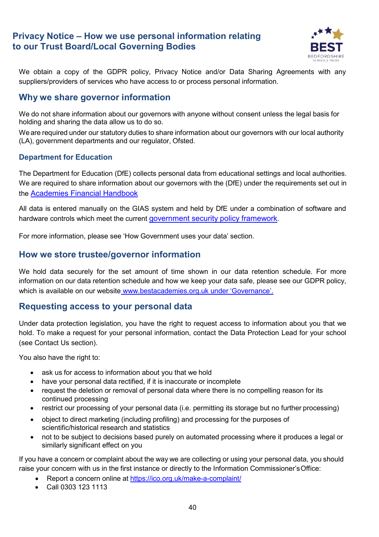

We obtain a copy of the GDPR policy, Privacy Notice and/or Data Sharing Agreements with any suppliers/providers of services who have access to or process personal information.

## **Why we share governor information**

We do not share information about our governors with anyone without consent unless the legal basis for holding and sharing the data allow us to do so.

We are required under our statutory duties to share information about our governors with our local authority (LA), government departments and our regulator, Ofsted.

### **Department for Education**

The Department for Education (DfE) collects personal data from educational settings and local authorities. We are required to share information about our governors with the (DfE) under the requirements set out in the [Academies](https://www.gov.uk/government/publications/academies-financial-handbook) Financial Handbook

All data is entered manually on the GIAS system and held by DfE under a combination of software and hardware controls which meet the current [government security](https://www.gov.uk/government/publications/security-policy-framework) policy framework.

For more information, please see 'How Government uses your data' section.

### **How we store trustee/governor information**

We hold data securely for the set amount of time shown in our data retention schedule. For more information on our data retention schedule and how we keep your data safe, please see our GDPR policy, which is available on our website [www.bestacademies.org.uk under](http://www.bestacademies.org.ukunder/) 'Governance'.

### **Requesting access to your personal data**

Under data protection legislation, you have the right to request access to information about you that we hold. To make a request for your personal information, contact the Data Protection Lead for your school (see Contact Us section).

You also have the right to:

- ask us for access to information about you that we hold
- have your personal data rectified, if it is inaccurate or incomplete
- request the deletion or removal of personal data where there is no compelling reason for its continued processing
- restrict our processing of your personal data (i.e. permitting its storage but no further processing)
- object to direct marketing (including profiling) and processing for the purposes of scientific/historical research and statistics
- not to be subject to decisions based purely on automated processing where it produces a legal or similarly significant effect on you

If you have a concern or complaint about the way we are collecting or using your personal data, you should raise your concern with us in the first instance or directly to the Information Commissioner'sOffice:

- Report a concern online at <https://ico.org.uk/make-a-complaint/>
- Call 0303 123 1113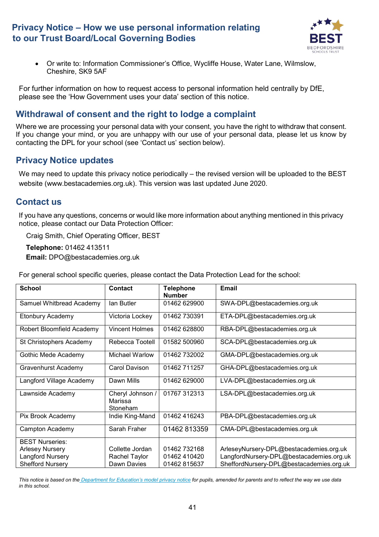

• Or write to: Information Commissioner's Office, Wycliffe House, Water Lane, Wilmslow, Cheshire, SK9 5AF

For further information on how to request access to personal information held centrally by DfE, please see the 'How Government uses your data' section of this notice.

## **Withdrawal of consent and the right to lodge a complaint**

Where we are processing your personal data with your consent, you have the right to withdraw that consent. If you change your mind, or you are unhappy with our use of your personal data, please let us know by contacting the DPL for your school (see 'Contact us' section below).

## **Privacy Notice updates**

We may need to update this privacy notice periodically – the revised version will be uploaded to the BEST website (www.bestacademies.org.uk). This version was last updated June 2020.

## **Contact us**

If you have any questions, concerns or would like more information about anything mentioned in this privacy notice, please contact our Data Protection Officer:

Craig Smith, Chief Operating Officer, BEST

**Telephone:** 01462 413511

**Email:** [DPO@bestacademies.org.uk](mailto:DPO@bestacademies.org.uk)

For general school specific queries, please contact the Data Protection Lead for the school:

| <b>School</b>             | Contact                                 | Telephone<br><b>Number</b> | <b>Email</b>                             |
|---------------------------|-----------------------------------------|----------------------------|------------------------------------------|
| Samuel Whitbread Academy  | lan Butler                              | 01462 629900               | SWA-DPL@bestacademies.org.uk             |
| <b>Etonbury Academy</b>   | Victoria Lockey                         | 01462 730391               | ETA-DPL@bestacademies.org.uk             |
| Robert Bloomfield Academy | <b>Vincent Holmes</b>                   | 01462 628800               | RBA-DPL@bestacademies.org.uk             |
| St Christophers Academy   | Rebecca Tootell                         | 01582 500960               | SCA-DPL@bestacademies.org.uk             |
| Gothic Mede Academy       | Michael Warlow                          | 01462 732002               | GMA-DPL@bestacademies.org.uk             |
| Gravenhurst Academy       | Carol Davison                           | 01462 711257               | GHA-DPL@bestacademies.org.uk             |
| Langford Village Academy  | Dawn Mills                              | 01462 629000               | LVA-DPL@bestacademies.org.uk             |
| Lawnside Academy          | Cheryl Johnson /<br>Marissa<br>Stoneham | 01767 312313               | LSA-DPL@bestacademies.org.uk             |
| Pix Brook Academy         | Indie King-Mand                         | 01462 416243               | PBA-DPL@bestacademies.org.uk             |
| Campton Academy           | Sarah Fraher                            | 01462 813359               | CMA-DPL@bestacademies.org.uk             |
| <b>BEST Nurseries:</b>    |                                         |                            |                                          |
| <b>Arlesey Nursery</b>    | Collette Jordan                         | 01462 732168               | ArleseyNursery-DPL@bestacademies.org.uk  |
| Langford Nursery          | Rachel Taylor                           | 01462 410420               | LangfordNursery-DPL@bestacademies.org.uk |
| <b>Shefford Nursery</b>   | Dawn Davies                             | 01462 815637               | SheffordNursery-DPL@bestacademies.org.uk |

*This notice is based on the Department for Education's model privacy notice for pupils, amended for parents and to reflect the way we use data in this school.*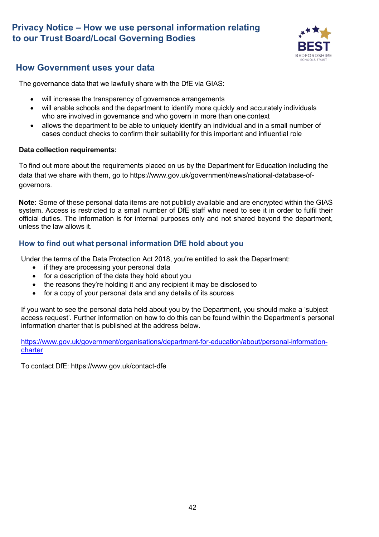

### **How Government uses your data**

The governance data that we lawfully share with the DfE via GIAS:

- will increase the transparency of governance arrangements
- will enable schools and the department to identify more quickly and accurately individuals who are involved in governance and who govern in more than one context
- allows the department to be able to uniquely identify an individual and in a small number of cases conduct checks to confirm their suitability for this important and influential role

#### **Data collection requirements:**

To find out more about the requirements placed on us by the Department for Education including the data that we share with them, go to [https://www.gov.uk/government/news/national-database-of](https://www.gov.uk/government/news/national-database-of-governors)[governors.](https://www.gov.uk/government/news/national-database-of-governors)

**Note:** Some of these personal data items are not publicly available and are encrypted within the GIAS system. Access is restricted to a small number of DfE staff who need to see it in order to fulfil their official duties. The information is for internal purposes only and not shared beyond the department, unless the law allows it.

### **How to find out what personal information DfE hold about you**

Under the terms of the Data Protection Act 2018, you're entitled to ask the Department:

- if they are processing your personal data
- for a description of the data they hold about you
- the reasons they're holding it and any recipient it may be disclosed to
- for a copy of your personal data and any details of its sources

If you want to see the personal data held about you by the Department, you should make a 'subject access request'. Further information on how to do this can be found within the Department's personal information charter that is published at the address below.

[https://www.gov.uk/government/organisations/department-for-education/about/personal-information](https://www.gov.uk/government/organisations/department-for-education/about/personal-information-charter)[charter](https://www.gov.uk/government/organisations/department-for-education/about/personal-information-charter)

To contact DfE: https:/[/www.gov.uk/contact-dfe](http://www.gov.uk/contact-dfe)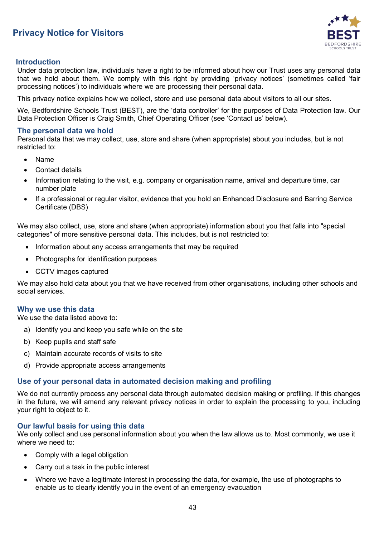

### **Introduction**

Under data protection law, individuals have a right to be informed about how our Trust uses any personal data that we hold about them. We comply with this right by providing 'privacy notices' (sometimes called 'fair processing notices') to individuals where we are processing their personal data.

This privacy notice explains how we collect, store and use personal data about visitors to all our sites.

We, Bedfordshire Schools Trust (BEST), are the 'data controller' for the purposes of Data Protection law. Our Data Protection Officer is Craig Smith, Chief Operating Officer (see 'Contact us' below).

#### **The personal data we hold**

Personal data that we may collect, use, store and share (when appropriate) about you includes, but is not restricted to:

- Name
- Contact details
- Information relating to the visit, e.g. company or organisation name, arrival and departure time, car number plate
- If a professional or regular visitor, evidence that you hold an Enhanced Disclosure and Barring Service Certificate (DBS)

We may also collect, use, store and share (when appropriate) information about you that falls into "special categories" of more sensitive personal data. This includes, but is not restricted to:

- Information about any access arrangements that may be required
- Photographs for identification purposes
- CCTV images captured

We may also hold data about you that we have received from other organisations, including other schools and social services.

#### **Why we use this data**

We use the data listed above to:

- a) Identify you and keep you safe while on the site
- b) Keep pupils and staff safe
- c) Maintain accurate records of visits to site
- d) Provide appropriate access arrangements

#### **Use of your personal data in automated decision making and profiling**

We do not currently process any personal data through automated decision making or profiling. If this changes in the future, we will amend any relevant privacy notices in order to explain the processing to you, including your right to object to it.

#### **Our lawful basis for using this data**

We only collect and use personal information about you when the law allows us to. Most commonly, we use it where we need to:

- Comply with a legal obligation
- Carry out a task in the public interest
- Where we have a legitimate interest in processing the data, for example, the use of photographs to enable us to clearly identify you in the event of an emergency evacuation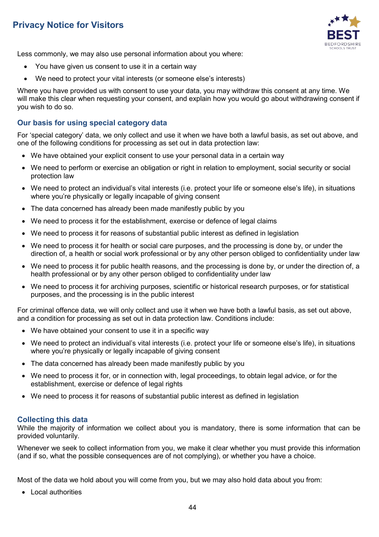

Less commonly, we may also use personal information about you where:

- You have given us consent to use it in a certain way
- We need to protect your vital interests (or someone else's interests)

Where you have provided us with consent to use your data, you may withdraw this consent at any time. We will make this clear when requesting your consent, and explain how you would go about withdrawing consent if you wish to do so.

### **Our basis for using special category data**

For 'special category' data, we only collect and use it when we have both a lawful basis, as set out above, and one of the following conditions for processing as set out in data protection law:

- We have obtained your explicit consent to use your personal data in a certain way
- We need to perform or exercise an obligation or right in relation to employment, social security or social protection law
- We need to protect an individual's vital interests (i.e. protect your life or someone else's life), in situations where you're physically or legally incapable of giving consent
- The data concerned has already been made manifestly public by you
- We need to process it for the establishment, exercise or defence of legal claims
- We need to process it for reasons of substantial public interest as defined in legislation
- We need to process it for health or social care purposes, and the processing is done by, or under the direction of, a health or social work professional or by any other person obliged to confidentiality under law
- We need to process it for public health reasons, and the processing is done by, or under the direction of, a health professional or by any other person obliged to confidentiality under law
- We need to process it for archiving purposes, scientific or historical research purposes, or for statistical purposes, and the processing is in the public interest

For criminal offence data, we will only collect and use it when we have both a lawful basis, as set out above, and a condition for processing as set out in data protection law. Conditions include:

- We have obtained your consent to use it in a specific way
- We need to protect an individual's vital interests (i.e. protect your life or someone else's life), in situations where you're physically or legally incapable of giving consent
- The data concerned has already been made manifestly public by you
- We need to process it for, or in connection with, legal proceedings, to obtain legal advice, or for the establishment, exercise or defence of legal rights
- We need to process it for reasons of substantial public interest as defined in legislation

### **Collecting this data**

While the majority of information we collect about you is mandatory, there is some information that can be provided voluntarily.

Whenever we seek to collect information from you, we make it clear whether you must provide this information (and if so, what the possible consequences are of not complying), or whether you have a choice.

Most of the data we hold about you will come from you, but we may also hold data about you from:

• Local authorities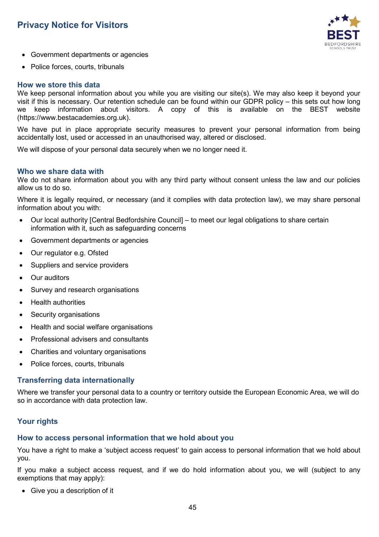

- Government departments or agencies
- Police forces, courts, tribunals

### **How we store this data**

We keep personal information about you while you are visiting our site(s). We may also keep it beyond your visit if this is necessary. Our retention schedule can be found within our GDPR policy – this sets out how long we keep information about visitors. A copy of this is available on the BEST website (https://www.bestacademies.org.uk).

We have put in place appropriate security measures to prevent your personal information from being accidentally lost, used or accessed in an unauthorised way, altered or disclosed.

We will dispose of your personal data securely when we no longer need it.

#### **Who we share data with**

We do not share information about you with any third party without consent unless the law and our policies allow us to do so.

Where it is legally required, or necessary (and it complies with data protection law), we may share personal information about you with:

- Our local authority [Central Bedfordshire Council] to meet our legal obligations to share certain information with it, such as safeguarding concerns
- Government departments or agencies
- Our regulator e.g. Ofsted
- Suppliers and service providers
- Our auditors
- Survey and research organisations
- Health authorities
- Security organisations
- Health and social welfare organisations
- Professional advisers and consultants
- Charities and voluntary organisations
- Police forces, courts, tribunals

### **Transferring data internationally**

Where we transfer your personal data to a country or territory outside the European Economic Area, we will do so in accordance with data protection law.

### **Your rights**

#### **How to access personal information that we hold about you**

You have a right to make a 'subject access request' to gain access to personal information that we hold about you.

If you make a subject access request, and if we do hold information about you, we will (subject to any exemptions that may apply):

• Give you a description of it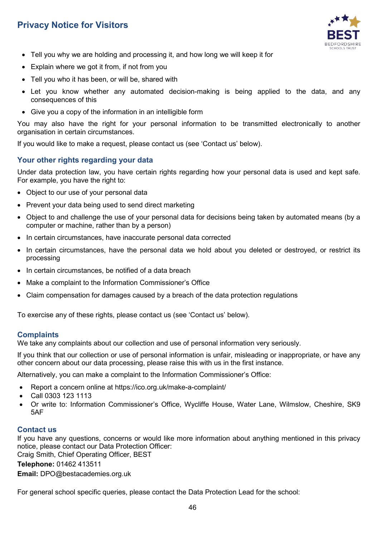

- Tell you why we are holding and processing it, and how long we will keep it for
- Explain where we got it from, if not from you
- Tell you who it has been, or will be, shared with
- Let you know whether any automated decision-making is being applied to the data, and any consequences of this
- Give you a copy of the information in an intelligible form

You may also have the right for your personal information to be transmitted electronically to another organisation in certain circumstances.

If you would like to make a request, please contact us (see 'Contact us' below).

### **Your other rights regarding your data**

Under data protection law, you have certain rights regarding how your personal data is used and kept safe. For example, you have the right to:

- Object to our use of your personal data
- Prevent your data being used to send direct marketing
- Object to and challenge the use of your personal data for decisions being taken by automated means (by a computer or machine, rather than by a person)
- In certain circumstances, have inaccurate personal data corrected
- In certain circumstances, have the personal data we hold about you deleted or destroyed, or restrict its processing
- In certain circumstances, be notified of a data breach
- Make a complaint to the Information Commissioner's Office
- Claim compensation for damages caused by a breach of the data protection regulations

To exercise any of these rights, please contact us (see 'Contact us' below).

### **Complaints**

We take any complaints about our collection and use of personal information very seriously.

If you think that our collection or use of personal information is unfair, misleading or inappropriate, or have any other concern about our data processing, please raise this with us in the first instance.

Alternatively, you can make a complaint to the Information Commissioner's Office:

- Report a concern online at<https://ico.org.uk/make-a-complaint/>
- Call 0303 123 1113
- Or write to: Information Commissioner's Office, Wycliffe House, Water Lane, Wilmslow, Cheshire, SK9 5AF

### **Contact us**

If you have any questions, concerns or would like more information about anything mentioned in this privacy notice, please contact our Data Protection Officer: Craig Smith, Chief Operating Officer, BEST

**Telephone:** 01462 413511

**Email:** [DPO@bestacademies.org.uk](mailto:DPO@bestacademies.org.uk)

For general school specific queries, please contact the Data Protection Lead for the school: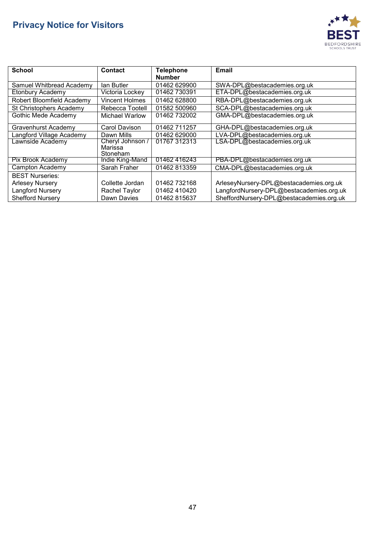

|                            |                       |                  | Email                                    |
|----------------------------|-----------------------|------------------|------------------------------------------|
| <b>School</b>              | <b>Contact</b>        | <b>Telephone</b> |                                          |
|                            |                       | <b>Number</b>    |                                          |
| Samuel Whitbread Academy   | lan Butler            | 01462 629900     | SWA-DPL@bestacademies.org.uk             |
| Etonbury Academy           | Victoria Lockey       | 01462 730391     | ETA-DPL@bestacademies.org.uk             |
| Robert Bloomfield Academy  | <b>Vincent Holmes</b> | 01462 628800     | RBA-DPL@bestacademies.org.uk             |
| St Christophers Academy    | Rebecca Tootell       | 01582 500960     | SCA-DPL@bestacademies.org.uk             |
| Gothic Mede Academy        | Michael Warlow        | 01462732002      | GMA-DPL@bestacademies.org.uk             |
|                            |                       |                  |                                          |
| <b>Gravenhurst Academy</b> | Carol Davison         | 01462 711257     | GHA-DPL@bestacademies.org.uk             |
| Langford Village Academy   | Dawn Mills            | 01462 629000     | LVA-DPL@bestacademies.org.uk             |
| Lawnside Academy           | Cheryl Johnson /      | 01767 312313     | LSA-DPL@bestacademies.org.uk             |
|                            | Marissa               |                  |                                          |
|                            | Stoneham              |                  |                                          |
| Pix Brook Academy          | Indie King-Mand       | 01462416243      | PBA-DPL@bestacademies.org.uk             |
| Campton Academy            | Sarah Fraher          | 01462 813359     | CMA-DPL@bestacademies.org.uk             |
| <b>BEST Nurseries:</b>     |                       |                  |                                          |
| <b>Arlesey Nursery</b>     | Collette Jordan       | 01462732168      | ArleseyNursery-DPL@bestacademies.org.uk  |
| Langford Nursery           | Rachel Taylor         | 01462 410420     | LangfordNursery-DPL@bestacademies.org.uk |
| <b>Shefford Nursery</b>    | Dawn Davies           | 01462815637      | SheffordNursery-DPL@bestacademies.org.uk |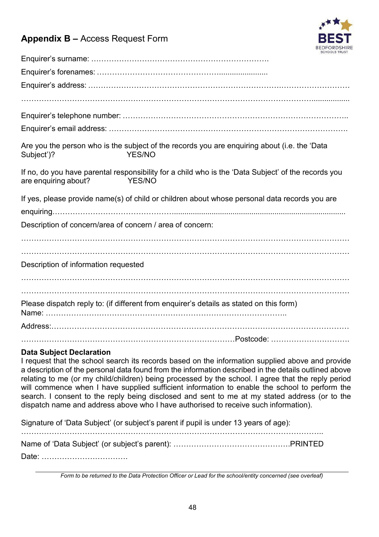

# **Appendix B –** Access Request Form

| Subject')?                                                | Are you the person who is the subject of the records you are enquiring about (i.e. the 'Data<br><b>YES/NO</b>        |
|-----------------------------------------------------------|----------------------------------------------------------------------------------------------------------------------|
| are enquiring about?                                      | If no, do you have parental responsibility for a child who is the 'Data Subject' of the records you<br><b>YES/NO</b> |
|                                                           | If yes, please provide name(s) of child or children about whose personal data records you are                        |
|                                                           |                                                                                                                      |
| Description of concern/area of concern / area of concern: |                                                                                                                      |
|                                                           |                                                                                                                      |
|                                                           |                                                                                                                      |
| Description of information requested                      |                                                                                                                      |
|                                                           |                                                                                                                      |
|                                                           | Please dispatch reply to: (if different from enquirer's details as stated on this form)                              |
|                                                           |                                                                                                                      |
|                                                           |                                                                                                                      |

### **Data Subject Declaration**

I request that the school search its records based on the information supplied above and provide a description of the personal data found from the information described in the details outlined above relating to me (or my child/children) being processed by the school. I agree that the reply period will commence when I have supplied sufficient information to enable the school to perform the search. I consent to the reply being disclosed and sent to me at my stated address (or to the dispatch name and address above who I have authorised to receive such information).

Signature of 'Data Subject' (or subject's parent if pupil is under 13 years of age):

*Form to be returned to the Data Protection Officer or Lead for the school/entity concerned (see overleaf)*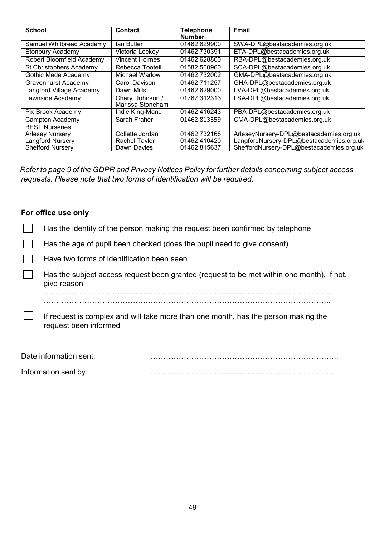| <b>School</b>              | <b>Contact</b>        | <b>Telephone</b> | Email                                    |
|----------------------------|-----------------------|------------------|------------------------------------------|
|                            |                       | <b>Number</b>    |                                          |
| Samuel Whitbread Academy   | lan Butler            | 01462 629900     | SWA-DPL@bestacademies.org.uk             |
| Etonbury Academy           | Victoria Lockey       | 01462 730391     | ETA-DPL@bestacademies.org.uk             |
| Robert Bloomfield Academy  | <b>Vincent Holmes</b> | 01462 628800     | RBA-DPL@bestacademies.org.uk             |
| St Christophers Academy    | Rebecca Tootell       | 01582 500960     | SCA-DPL@bestacademies.org.uk             |
| Gothic Mede Academy        | Michael Warlow        | 01462 732002     | GMA-DPL@bestacademies.org.uk             |
| <b>Gravenhurst Academy</b> | Carol Davison         | 01462 711257     | GHA-DPL@bestacademies.org.uk             |
| Langford Village Academy   | Dawn Mills            | 01462 629000     | LVA-DPL@bestacademies.org.uk             |
| Lawnside Academy           | Cheryl Johnson /      | 01767 312313     | LSA-DPL@bestacademies.org.uk             |
|                            | Marissa Stoneham      |                  |                                          |
| Pix Brook Academy          | Indie King-Mand       | 01462 416243     | PBA-DPL@bestacademies.org.uk             |
| Campton Academy            | Sarah Fraher          | 01462 813359     | CMA-DPL@bestacademies.org.uk             |
| <b>BEST Nurseries:</b>     |                       |                  |                                          |
| <b>Arlesey Nursery</b>     | Collette Jordan       | 01462 732168     | ArleseyNursery-DPL@bestacademies.org.uk  |
| <b>Langford Nursery</b>    | Rachel Taylor         | 01462 410420     | LangfordNursery-DPL@bestacademies.org.uk |
| Shefford Nursery           | Dawn Davies           | 01462 815637     | SheffordNursery-DPL@bestacademies.org.uk |

*Refer to page 9 of the GDPR and Privacy Notices Policy for further details concerning subject access requests. Please note that two forms of identification will be required.*

### **For office use only**

| Has the identity of the person making the request been confirmed by telephone |  |  |
|-------------------------------------------------------------------------------|--|--|
|                                                                               |  |  |

Has the age of pupil been checked (does the pupil need to give consent)

 $\Box$ Have two forms of identification been seen

Has the subject access request been granted (request to be met within one month), If not, give reason

………………………………………………………………………………………………….. …………………………………………………………………………………………………..

If request is complex and will take more than one month, has the person making the request been informed

| Date information sent: |  |
|------------------------|--|
| Information sent by:   |  |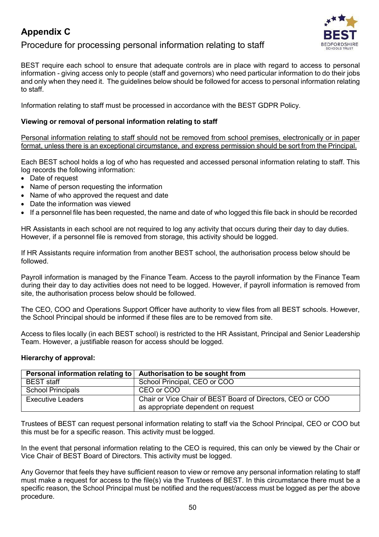# **Appendix C**



### Procedure for processing personal information relating to staff

BEST require each school to ensure that adequate controls are in place with regard to access to personal information - giving access only to people (staff and governors) who need particular information to do their jobs and only when they need it. The guidelines below should be followed for access to personal information relating to staff.

Information relating to staff must be processed in accordance with the BEST GDPR Policy.

### **Viewing or removal of personal information relating to staff**

Personal information relating to staff should not be removed from school premises, electronically or in paper format, unless there is an exceptional circumstance, and express permission should be sort from the Principal.

Each BEST school holds a log of who has requested and accessed personal information relating to staff. This log records the following information:

- Date of request
- Name of person requesting the information
- Name of who approved the request and date
- Date the information was viewed
- If a personnel file has been requested, the name and date of who logged this file back in should be recorded

HR Assistants in each school are not required to log any activity that occurs during their day to day duties. However, if a personnel file is removed from storage, this activity should be logged.

If HR Assistants require information from another BEST school, the authorisation process below should be followed.

Payroll information is managed by the Finance Team. Access to the payroll information by the Finance Team during their day to day activities does not need to be logged. However, if payroll information is removed from site, the authorisation process below should be followed.

The CEO, COO and Operations Support Officer have authority to view files from all BEST schools. However, the School Principal should be informed if these files are to be removed from site.

Access to files locally (in each BEST school) is restricted to the HR Assistant, Principal and Senior Leadership Team. However, a justifiable reason for access should be logged.

#### **Hierarchy of approval:**

|                          | Personal information relating to   Authorisation to be sought from                                |
|--------------------------|---------------------------------------------------------------------------------------------------|
| BEST staff               | School Principal, CEO or COO                                                                      |
| <b>School Principals</b> | CEO or COO                                                                                        |
| <b>Executive Leaders</b> | Chair or Vice Chair of BEST Board of Directors, CEO or COO<br>as appropriate dependent on request |

Trustees of BEST can request personal information relating to staff via the School Principal, CEO or COO but this must be for a specific reason. This activity must be logged.

In the event that personal information relating to the CEO is required, this can only be viewed by the Chair or Vice Chair of BEST Board of Directors. This activity must be logged.

Any Governor that feels they have sufficient reason to view or remove any personal information relating to staff must make a request for access to the file(s) via the Trustees of BEST. In this circumstance there must be a specific reason, the School Principal must be notified and the request/access must be logged as per the above procedure.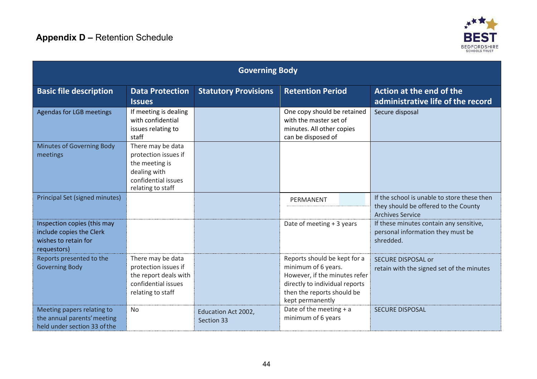

| <b>Governing Body</b>                                                                          |                                                                                                                         |                                   |                                                                                                                                                                          |                                                                                                                |
|------------------------------------------------------------------------------------------------|-------------------------------------------------------------------------------------------------------------------------|-----------------------------------|--------------------------------------------------------------------------------------------------------------------------------------------------------------------------|----------------------------------------------------------------------------------------------------------------|
| <b>Basic file description</b>                                                                  | <b>Data Protection</b><br><b>Issues</b>                                                                                 | <b>Statutory Provisions</b>       | <b>Retention Period</b>                                                                                                                                                  | Action at the end of the<br>administrative life of the record                                                  |
| Agendas for LGB meetings                                                                       | If meeting is dealing<br>with confidential<br>issues relating to<br>staff                                               |                                   | One copy should be retained<br>with the master set of<br>minutes. All other copies<br>can be disposed of                                                                 | Secure disposal                                                                                                |
| Minutes of Governing Body<br>meetings                                                          | There may be data<br>protection issues if<br>the meeting is<br>dealing with<br>confidential issues<br>relating to staff |                                   |                                                                                                                                                                          |                                                                                                                |
| Principal Set (signed minutes)                                                                 |                                                                                                                         |                                   | PERMANENT                                                                                                                                                                | If the school is unable to store these then<br>they should be offered to the County<br><b>Archives Service</b> |
| Inspection copies (this may<br>include copies the Clerk<br>wishes to retain for<br>requestors) |                                                                                                                         |                                   | Date of meeting + 3 years                                                                                                                                                | If these minutes contain any sensitive,<br>personal information they must be<br>shredded.                      |
| Reports presented to the<br><b>Governing Body</b>                                              | There may be data<br>protection issues if<br>the report deals with<br>confidential issues<br>relating to staff          |                                   | Reports should be kept for a<br>minimum of 6 years.<br>However, if the minutes refer<br>directly to individual reports<br>then the reports should be<br>kept permanently | <b>SECURE DISPOSAL or</b><br>retain with the signed set of the minutes                                         |
| Meeting papers relating to<br>the annual parents' meeting<br>held under section 33 of the      | <b>No</b>                                                                                                               | Education Act 2002,<br>Section 33 | Date of the meeting $+ a$<br>minimum of 6 years                                                                                                                          | <b>SECURE DISPOSAL</b>                                                                                         |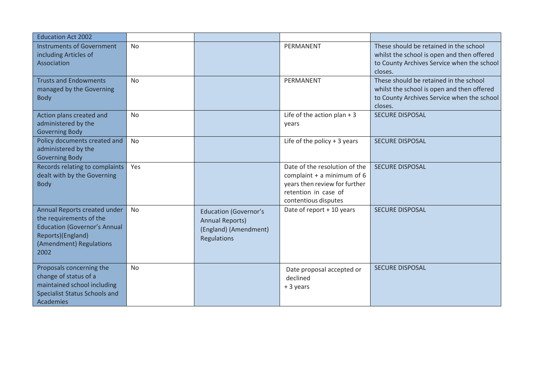| <b>Education Act 2002</b>                                                                                                                              |           |                                                                                                |                                                                                                                                                |                                                                                                                                                          |
|--------------------------------------------------------------------------------------------------------------------------------------------------------|-----------|------------------------------------------------------------------------------------------------|------------------------------------------------------------------------------------------------------------------------------------------------|----------------------------------------------------------------------------------------------------------------------------------------------------------|
| <b>Instruments of Government</b><br>including Articles of<br>Association                                                                               | <b>No</b> |                                                                                                | PERMANENT                                                                                                                                      | These should be retained in the school<br>whilst the school is open and then offered<br>to County Archives Service when the school                       |
| <b>Trusts and Endowments</b><br>managed by the Governing<br><b>Body</b>                                                                                | <b>No</b> |                                                                                                | PERMANENT                                                                                                                                      | closes.<br>These should be retained in the school<br>whilst the school is open and then offered<br>to County Archives Service when the school<br>closes. |
| Action plans created and<br>administered by the<br><b>Governing Body</b>                                                                               | <b>No</b> |                                                                                                | Life of the action plan $+3$<br>years                                                                                                          | <b>SECURE DISPOSAL</b>                                                                                                                                   |
| Policy documents created and<br>administered by the<br><b>Governing Body</b>                                                                           | <b>No</b> |                                                                                                | Life of the policy $+3$ years                                                                                                                  | <b>SECURE DISPOSAL</b>                                                                                                                                   |
| Records relating to complaints<br>dealt with by the Governing<br><b>Body</b>                                                                           | Yes       |                                                                                                | Date of the resolution of the<br>complaint $+$ a minimum of 6<br>years then review for further<br>retention in case of<br>contentious disputes | <b>SECURE DISPOSAL</b>                                                                                                                                   |
| Annual Reports created under<br>the requirements of the<br><b>Education (Governor's Annual</b><br>Reports)(England)<br>(Amendment) Regulations<br>2002 | <b>No</b> | <b>Education (Governor's</b><br><b>Annual Reports)</b><br>(England) (Amendment)<br>Regulations | Date of report + 10 years                                                                                                                      | <b>SECURE DISPOSAL</b>                                                                                                                                   |
| Proposals concerning the<br>change of status of a<br>maintained school including<br><b>Specialist Status Schools and</b><br>Academies                  | <b>No</b> |                                                                                                | Date proposal accepted or<br>declined<br>+ 3 years                                                                                             | <b>SECURE DISPOSAL</b>                                                                                                                                   |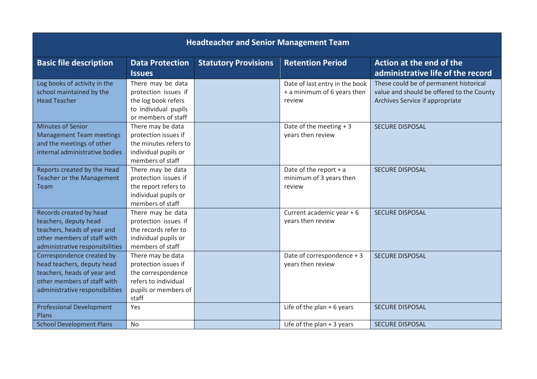| <b>Headteacher and Senior Management Team</b>                                                                                                            |                                                                                                                          |                             |                                                                         |                                                                                                                        |  |
|----------------------------------------------------------------------------------------------------------------------------------------------------------|--------------------------------------------------------------------------------------------------------------------------|-----------------------------|-------------------------------------------------------------------------|------------------------------------------------------------------------------------------------------------------------|--|
| <b>Basic file description</b>                                                                                                                            | <b>Data Protection</b><br><b>Issues</b>                                                                                  | <b>Statutory Provisions</b> | <b>Retention Period</b>                                                 | Action at the end of the<br>administrative life of the record                                                          |  |
| Log books of activity in the<br>school maintained by the<br><b>Head Teacher</b>                                                                          | There may be data<br>protection issues if<br>the log book refers<br>to individual pupils<br>or members of staff          |                             | Date of last entry in the book<br>+ a minimum of 6 years then<br>review | These could be of permanent historical<br>value and should be offered to the County<br>Archives Service if appropriate |  |
| <b>Minutes of Senior</b><br><b>Management Team meetings</b><br>and the meetings of other<br>internal administrative bodies                               | There may be data<br>protection issues if<br>the minutes refers to<br>individual pupils or<br>members of staff           |                             | Date of the meeting $+3$<br>years then review                           | <b>SECURE DISPOSAL</b>                                                                                                 |  |
| Reports created by the Head<br>Teacher or the Management<br>Team                                                                                         | There may be data<br>protection issues if<br>the report refers to<br>individual pupils or<br>members of staff            |                             | Date of the report $+ a$<br>minimum of 3 years then<br>review           | <b>SECURE DISPOSAL</b>                                                                                                 |  |
| Records created by head<br>teachers, deputy head<br>teachers, heads of year and<br>other members of staff with<br>administrative responsibilities        | There may be data<br>protection issues if<br>the records refer to<br>individual pupils or<br>members of staff            |                             | Current academic year + 6<br>years then review                          | <b>SECURE DISPOSAL</b>                                                                                                 |  |
| Correspondence created by<br>head teachers, deputy head<br>teachers, heads of year and<br>other members of staff with<br>administrative responsibilities | There may be data<br>protection issues if<br>the correspondence<br>refers to individual<br>pupils or members of<br>staff |                             | Date of correspondence + 3<br>years then review                         | <b>SECURE DISPOSAL</b>                                                                                                 |  |
| <b>Professional Development</b><br>Plans                                                                                                                 | Yes                                                                                                                      |                             | Life of the plan $+6$ years                                             | <b>SECURE DISPOSAL</b>                                                                                                 |  |
| <b>School Development Plans</b>                                                                                                                          | No                                                                                                                       |                             | Life of the plan $+3$ years                                             | <b>SECURE DISPOSAL</b>                                                                                                 |  |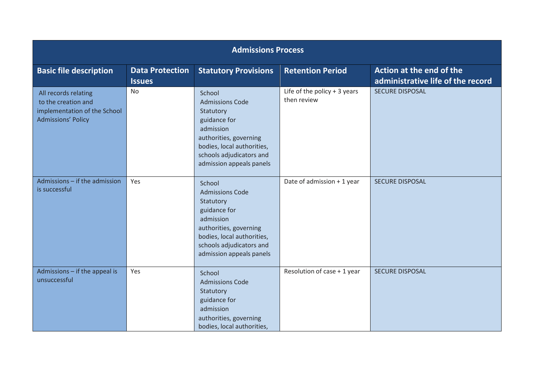| <b>Admissions Process</b>                                                                                |                                         |                                                                                                                                                                                            |                                              |                                                               |
|----------------------------------------------------------------------------------------------------------|-----------------------------------------|--------------------------------------------------------------------------------------------------------------------------------------------------------------------------------------------|----------------------------------------------|---------------------------------------------------------------|
| <b>Basic file description</b>                                                                            | <b>Data Protection</b><br><b>Issues</b> | <b>Statutory Provisions</b>                                                                                                                                                                | <b>Retention Period</b>                      | Action at the end of the<br>administrative life of the record |
| All records relating<br>to the creation and<br>implementation of the School<br><b>Admissions' Policy</b> | No                                      | School<br><b>Admissions Code</b><br>Statutory<br>guidance for<br>admission<br>authorities, governing<br>bodies, local authorities,<br>schools adjudicators and<br>admission appeals panels | Life of the policy $+3$ years<br>then review | <b>SECURE DISPOSAL</b>                                        |
| Admissions - if the admission<br>is successful                                                           | Yes                                     | School<br><b>Admissions Code</b><br>Statutory<br>guidance for<br>admission<br>authorities, governing<br>bodies, local authorities,<br>schools adjudicators and<br>admission appeals panels | Date of admission + 1 year                   | <b>SECURE DISPOSAL</b>                                        |
| Admissions - if the appeal is<br>unsuccessful                                                            | Yes                                     | School<br><b>Admissions Code</b><br>Statutory<br>guidance for<br>admission<br>authorities, governing<br>bodies, local authorities,                                                         | Resolution of case + 1 year                  | <b>SECURE DISPOSAL</b>                                        |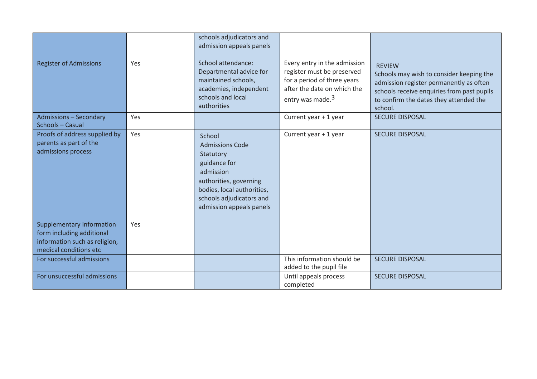|                                                                                                                   |     | schools adjudicators and<br>admission appeals panels                                                                                                                                       |                                                                                                                                                          |                                                                                                                                                                                                         |
|-------------------------------------------------------------------------------------------------------------------|-----|--------------------------------------------------------------------------------------------------------------------------------------------------------------------------------------------|----------------------------------------------------------------------------------------------------------------------------------------------------------|---------------------------------------------------------------------------------------------------------------------------------------------------------------------------------------------------------|
| <b>Register of Admissions</b>                                                                                     | Yes | School attendance:<br>Departmental advice for<br>maintained schools,<br>academies, independent<br>schools and local<br>authorities                                                         | Every entry in the admission<br>register must be preserved<br>for a period of three years<br>after the date on which the<br>entry was made. <sup>3</sup> | <b>REVIEW</b><br>Schools may wish to consider keeping the<br>admission register permanently as often<br>schools receive enquiries from past pupils<br>to confirm the dates they attended the<br>school. |
| <b>Admissions - Secondary</b><br>Schools - Casual                                                                 | Yes |                                                                                                                                                                                            | Current year + 1 year                                                                                                                                    | <b>SECURE DISPOSAL</b>                                                                                                                                                                                  |
| Proofs of address supplied by<br>parents as part of the<br>admissions process                                     | Yes | School<br><b>Admissions Code</b><br>Statutory<br>guidance for<br>admission<br>authorities, governing<br>bodies, local authorities,<br>schools adjudicators and<br>admission appeals panels | Current year + 1 year                                                                                                                                    | <b>SECURE DISPOSAL</b>                                                                                                                                                                                  |
| Supplementary Information<br>form including additional<br>information such as religion,<br>medical conditions etc | Yes |                                                                                                                                                                                            |                                                                                                                                                          |                                                                                                                                                                                                         |
| For successful admissions                                                                                         |     |                                                                                                                                                                                            | This information should be<br>added to the pupil file                                                                                                    | <b>SECURE DISPOSAL</b>                                                                                                                                                                                  |
| For unsuccessful admissions                                                                                       |     |                                                                                                                                                                                            | Until appeals process<br>completed                                                                                                                       | <b>SECURE DISPOSAL</b>                                                                                                                                                                                  |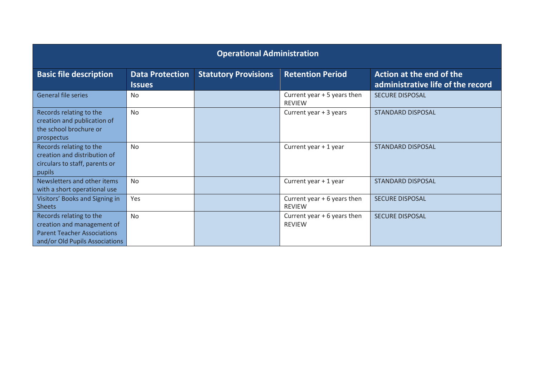| <b>Operational Administration</b>                                                                                             |                                         |                             |                                               |                                                               |
|-------------------------------------------------------------------------------------------------------------------------------|-----------------------------------------|-----------------------------|-----------------------------------------------|---------------------------------------------------------------|
| <b>Basic file description</b>                                                                                                 | <b>Data Protection</b><br><b>Issues</b> | <b>Statutory Provisions</b> | <b>Retention Period</b>                       | Action at the end of the<br>administrative life of the record |
| <b>General file series</b>                                                                                                    | No.                                     |                             | Current year + 5 years then<br><b>REVIEW</b>  | <b>SECURE DISPOSAL</b>                                        |
| Records relating to the<br>creation and publication of<br>the school brochure or<br>prospectus                                | <b>No</b>                               |                             | Current year + 3 years                        | <b>STANDARD DISPOSAL</b>                                      |
| Records relating to the<br>creation and distribution of<br>circulars to staff, parents or<br>pupils                           | No                                      |                             | Current year + 1 year                         | <b>STANDARD DISPOSAL</b>                                      |
| Newsletters and other items<br>with a short operational use                                                                   | <b>No</b>                               |                             | Current year + 1 year                         | <b>STANDARD DISPOSAL</b>                                      |
| Visitors' Books and Signing in<br><b>Sheets</b>                                                                               | Yes                                     |                             | Current year $+6$ years then<br><b>REVIEW</b> | <b>SECURE DISPOSAL</b>                                        |
| Records relating to the<br>creation and management of<br><b>Parent Teacher Associations</b><br>and/or Old Pupils Associations | <b>No</b>                               |                             | Current year + 6 years then<br><b>REVIEW</b>  | <b>SECURE DISPOSAL</b>                                        |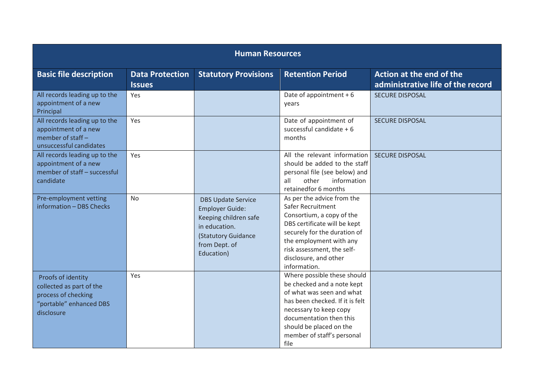| <b>Human Resources</b>                                                                                         |                                         |                                                                                                                                                     |                                                                                                                                                                                                                                                 |                                                               |
|----------------------------------------------------------------------------------------------------------------|-----------------------------------------|-----------------------------------------------------------------------------------------------------------------------------------------------------|-------------------------------------------------------------------------------------------------------------------------------------------------------------------------------------------------------------------------------------------------|---------------------------------------------------------------|
| <b>Basic file description</b>                                                                                  | <b>Data Protection</b><br><b>Issues</b> | <b>Statutory Provisions</b>                                                                                                                         | <b>Retention Period</b>                                                                                                                                                                                                                         | Action at the end of the<br>administrative life of the record |
| All records leading up to the<br>appointment of a new<br>Principal                                             | Yes                                     |                                                                                                                                                     | Date of appointment + 6<br>years                                                                                                                                                                                                                | <b>SECURE DISPOSAL</b>                                        |
| All records leading up to the<br>appointment of a new<br>member of staff -<br>unsuccessful candidates          | Yes                                     |                                                                                                                                                     | Date of appointment of<br>successful candidate + 6<br>months                                                                                                                                                                                    | <b>SECURE DISPOSAL</b>                                        |
| All records leading up to the<br>appointment of a new<br>member of staff - successful<br>candidate             | Yes                                     |                                                                                                                                                     | All the relevant information<br>should be added to the staff<br>personal file (see below) and<br>other<br>information<br>all<br>retainedfor 6 months                                                                                            | <b>SECURE DISPOSAL</b>                                        |
| Pre-employment vetting<br>information - DBS Checks                                                             | No                                      | <b>DBS Update Service</b><br><b>Employer Guide:</b><br>Keeping children safe<br>in education.<br>(Statutory Guidance<br>from Dept. of<br>Education) | As per the advice from the<br>Safer Recruitment<br>Consortium, a copy of the<br>DBS certificate will be kept<br>securely for the duration of<br>the employment with any<br>risk assessment, the self-<br>disclosure, and other<br>information.  |                                                               |
| Proofs of identity<br>collected as part of the<br>process of checking<br>"portable" enhanced DBS<br>disclosure | Yes                                     |                                                                                                                                                     | Where possible these should<br>be checked and a note kept<br>of what was seen and what<br>has been checked. If it is felt<br>necessary to keep copy<br>documentation then this<br>should be placed on the<br>member of staff's personal<br>file |                                                               |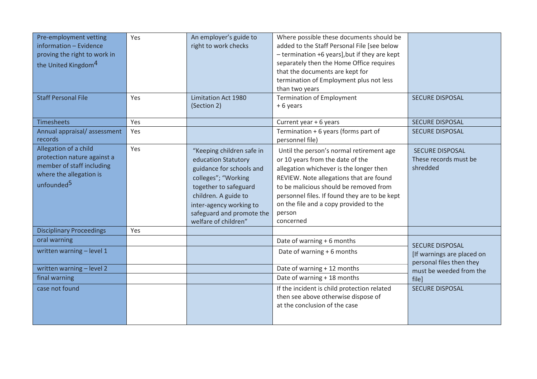| Pre-employment vetting<br>information - Evidence<br>proving the right to work in<br>the United Kingdom <sup>4</sup><br><b>Staff Personal File</b> | Yes<br>Yes | An employer's guide to<br>right to work checks<br>Limitation Act 1980                                                                                                                                                                | Where possible these documents should be<br>added to the Staff Personal File [see below<br>- termination +6 years], but if they are kept<br>separately then the Home Office requires<br>that the documents are kept for<br>termination of Employment plus not less<br>than two years<br><b>Termination of Employment</b>       | <b>SECURE DISPOSAL</b>                                      |
|---------------------------------------------------------------------------------------------------------------------------------------------------|------------|--------------------------------------------------------------------------------------------------------------------------------------------------------------------------------------------------------------------------------------|--------------------------------------------------------------------------------------------------------------------------------------------------------------------------------------------------------------------------------------------------------------------------------------------------------------------------------|-------------------------------------------------------------|
|                                                                                                                                                   |            | (Section 2)                                                                                                                                                                                                                          | +6 years                                                                                                                                                                                                                                                                                                                       |                                                             |
| <b>Timesheets</b>                                                                                                                                 | Yes        |                                                                                                                                                                                                                                      | Current year + 6 years                                                                                                                                                                                                                                                                                                         | <b>SECURE DISPOSAL</b>                                      |
| Annual appraisal/assessment<br>records                                                                                                            | Yes        |                                                                                                                                                                                                                                      | Termination + 6 years (forms part of<br>personnel file)                                                                                                                                                                                                                                                                        | SECURE DISPOSAL                                             |
| Allegation of a child<br>protection nature against a<br>member of staff including<br>where the allegation is<br>unfounded <sup>5</sup>            | Yes        | "Keeping children safe in<br>education Statutory<br>guidance for schools and<br>colleges"; "Working<br>together to safeguard<br>children. A guide to<br>inter-agency working to<br>safeguard and promote the<br>welfare of children" | Until the person's normal retirement age<br>or 10 years from the date of the<br>allegation whichever is the longer then<br>REVIEW. Note allegations that are found<br>to be malicious should be removed from<br>personnel files. If found they are to be kept<br>on the file and a copy provided to the<br>person<br>concerned | <b>SECURE DISPOSAL</b><br>These records must be<br>shredded |
| <b>Disciplinary Proceedings</b>                                                                                                                   | Yes        |                                                                                                                                                                                                                                      |                                                                                                                                                                                                                                                                                                                                |                                                             |
| oral warning                                                                                                                                      |            |                                                                                                                                                                                                                                      | Date of warning + 6 months                                                                                                                                                                                                                                                                                                     | <b>SECURE DISPOSAL</b>                                      |
| written warning - level 1                                                                                                                         |            |                                                                                                                                                                                                                                      | Date of warning + 6 months                                                                                                                                                                                                                                                                                                     | [If warnings are placed on<br>personal files then they      |
| written warning - level 2                                                                                                                         |            |                                                                                                                                                                                                                                      | Date of warning + 12 months                                                                                                                                                                                                                                                                                                    | must be weeded from the                                     |
| final warning                                                                                                                                     |            |                                                                                                                                                                                                                                      | Date of warning + 18 months                                                                                                                                                                                                                                                                                                    | file]                                                       |
| case not found                                                                                                                                    |            |                                                                                                                                                                                                                                      | If the incident is child protection related<br>then see above otherwise dispose of<br>at the conclusion of the case                                                                                                                                                                                                            | <b>SECURE DISPOSAL</b>                                      |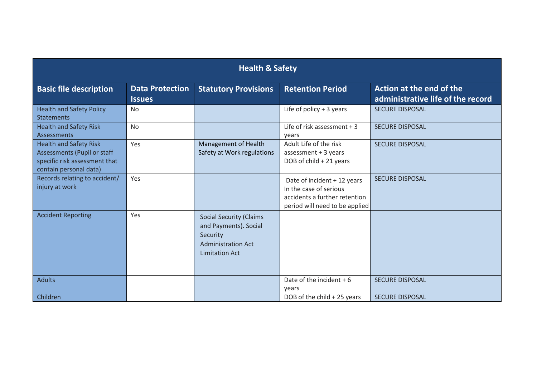| <b>Health &amp; Safety</b>                                                                                              |                                         |                                                                                                                           |                                                                                                                          |                                                               |
|-------------------------------------------------------------------------------------------------------------------------|-----------------------------------------|---------------------------------------------------------------------------------------------------------------------------|--------------------------------------------------------------------------------------------------------------------------|---------------------------------------------------------------|
| <b>Basic file description</b>                                                                                           | <b>Data Protection</b><br><b>Issues</b> | <b>Statutory Provisions</b>                                                                                               | <b>Retention Period</b>                                                                                                  | Action at the end of the<br>administrative life of the record |
| <b>Health and Safety Policy</b><br><b>Statements</b>                                                                    | No                                      |                                                                                                                           | Life of policy $+3$ years                                                                                                | <b>SECURE DISPOSAL</b>                                        |
| <b>Health and Safety Risk</b><br><b>Assessments</b>                                                                     | No                                      |                                                                                                                           | Life of risk assessment $+3$<br>years                                                                                    | <b>SECURE DISPOSAL</b>                                        |
| <b>Health and Safety Risk</b><br>Assessments (Pupil or staff<br>specific risk assessment that<br>contain personal data) | Yes                                     | Management of Health<br>Safety at Work regulations                                                                        | Adult Life of the risk<br>assessment $+3$ years<br>DOB of child + 21 years                                               | <b>SECURE DISPOSAL</b>                                        |
| Records relating to accident/<br>injury at work                                                                         | Yes                                     |                                                                                                                           | Date of incident + 12 years<br>In the case of serious<br>accidents a further retention<br>period will need to be applied | <b>SECURE DISPOSAL</b>                                        |
| <b>Accident Reporting</b>                                                                                               | Yes                                     | <b>Social Security (Claims</b><br>and Payments). Social<br>Security<br><b>Administration Act</b><br><b>Limitation Act</b> |                                                                                                                          |                                                               |
| <b>Adults</b>                                                                                                           |                                         |                                                                                                                           | Date of the incident $+6$<br>vears                                                                                       | <b>SECURE DISPOSAL</b>                                        |
| Children                                                                                                                |                                         |                                                                                                                           | DOB of the child + 25 years                                                                                              | <b>SECURE DISPOSAL</b>                                        |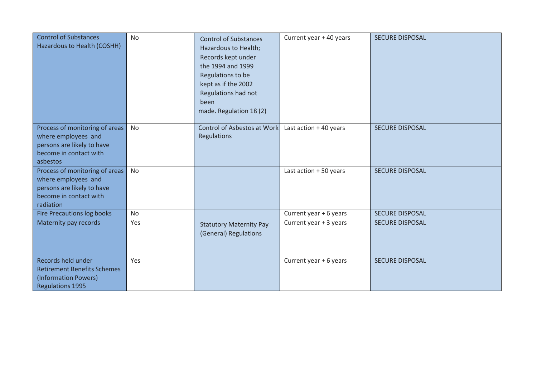| <b>Control of Substances</b><br>Hazardous to Health (COSHH)                                                                | <b>No</b> | <b>Control of Substances</b><br>Hazardous to Health;<br>Records kept under<br>the 1994 and 1999<br>Regulations to be<br>kept as if the 2002<br>Regulations had not<br>been<br>made. Regulation 18 (2) | Current year + 40 years | <b>SECURE DISPOSAL</b> |
|----------------------------------------------------------------------------------------------------------------------------|-----------|-------------------------------------------------------------------------------------------------------------------------------------------------------------------------------------------------------|-------------------------|------------------------|
| Process of monitoring of areas<br>where employees and<br>persons are likely to have<br>become in contact with<br>asbestos  | No        | Control of Asbestos at Work<br>Regulations                                                                                                                                                            | Last action + 40 years  | <b>SECURE DISPOSAL</b> |
| Process of monitoring of areas<br>where employees and<br>persons are likely to have<br>become in contact with<br>radiation | No        |                                                                                                                                                                                                       | Last action + 50 years  | <b>SECURE DISPOSAL</b> |
| Fire Precautions log books                                                                                                 | <b>No</b> |                                                                                                                                                                                                       | Current year + 6 years  | <b>SECURE DISPOSAL</b> |
| Maternity pay records                                                                                                      | Yes       | <b>Statutory Maternity Pay</b><br>(General) Regulations                                                                                                                                               | Current year + 3 years  | <b>SECURE DISPOSAL</b> |
| Records held under<br><b>Retirement Benefits Schemes</b><br>(Information Powers)<br><b>Regulations 1995</b>                | Yes       |                                                                                                                                                                                                       | Current year + 6 years  | <b>SECURE DISPOSAL</b> |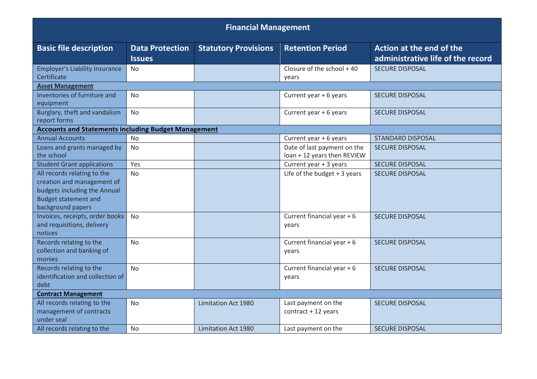| <b>Financial Management</b>                                                                                                                   |                                         |                             |                                                            |                                                               |  |
|-----------------------------------------------------------------------------------------------------------------------------------------------|-----------------------------------------|-----------------------------|------------------------------------------------------------|---------------------------------------------------------------|--|
| <b>Basic file description</b>                                                                                                                 | <b>Data Protection</b><br><b>Issues</b> | <b>Statutory Provisions</b> | <b>Retention Period</b>                                    | Action at the end of the<br>administrative life of the record |  |
| <b>Employer's Liability Insurance</b><br>Certificate                                                                                          | <b>No</b>                               |                             | Closure of the school + 40<br>years                        | <b>SECURE DISPOSAL</b>                                        |  |
| <b>Asset Management</b>                                                                                                                       |                                         |                             |                                                            |                                                               |  |
| Inventories of furniture and<br>equipment                                                                                                     | <b>No</b>                               |                             | Current year + 6 years                                     | <b>SECURE DISPOSAL</b>                                        |  |
| Burglary, theft and vandalism<br>report forms                                                                                                 | No                                      |                             | Current year + 6 years                                     | <b>SECURE DISPOSAL</b>                                        |  |
| <b>Accounts and Statements including Budget Management</b>                                                                                    |                                         |                             |                                                            |                                                               |  |
| <b>Annual Accounts</b>                                                                                                                        | <b>No</b>                               |                             | Current year + 6 years                                     | <b>STANDARD DISPOSAL</b>                                      |  |
| Loans and grants managed by<br>the school                                                                                                     | <b>No</b>                               |                             | Date of last payment on the<br>loan + 12 years then REVIEW | <b>SECURE DISPOSAL</b>                                        |  |
| <b>Student Grant applications</b>                                                                                                             | Yes                                     |                             | Current year + 3 years                                     | <b>SECURE DISPOSAL</b>                                        |  |
| All records relating to the<br>creation and management of<br>budgets including the Annual<br><b>Budget statement and</b><br>background papers | <b>No</b>                               |                             | Life of the budget $+3$ years                              | <b>SECURE DISPOSAL</b>                                        |  |
| Invoices, receipts, order books<br>and requisitions, delivery<br>notices                                                                      | <b>No</b>                               |                             | Current financial year + 6<br>years                        | <b>SECURE DISPOSAL</b>                                        |  |
| Records relating to the<br>collection and banking of<br>monies                                                                                | <b>No</b>                               |                             | Current financial year + 6<br>years                        | <b>SECURE DISPOSAL</b>                                        |  |
| Records relating to the<br>identification and collection of<br>debt                                                                           | <b>No</b>                               |                             | Current financial year + 6<br>years                        | <b>SECURE DISPOSAL</b>                                        |  |
| <b>Contract Management</b>                                                                                                                    |                                         |                             |                                                            |                                                               |  |
| All records relating to the<br>management of contracts<br>under seal                                                                          | <b>No</b>                               | Limitation Act 1980         | Last payment on the<br>$contract + 12 years$               | <b>SECURE DISPOSAL</b>                                        |  |
| All records relating to the                                                                                                                   | <b>No</b>                               | Limitation Act 1980         | Last payment on the                                        | <b>SECURE DISPOSAL</b>                                        |  |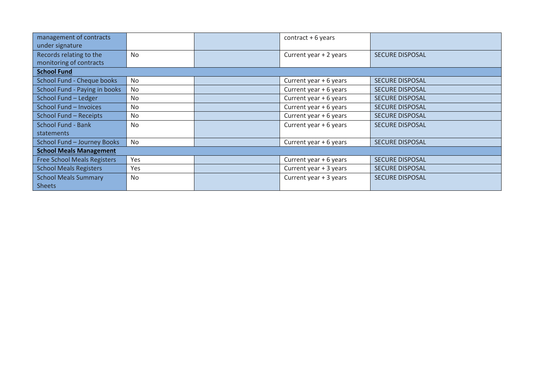| management of contracts<br>under signature |                | $contract + 6 years$   |                        |
|--------------------------------------------|----------------|------------------------|------------------------|
| Records relating to the                    | <b>No</b>      | Current year + 2 years | <b>SECURE DISPOSAL</b> |
| monitoring of contracts                    |                |                        |                        |
| <b>School Fund</b>                         |                |                        |                        |
| School Fund - Cheque books                 | N <sub>o</sub> | Current year + 6 years | <b>SECURE DISPOSAL</b> |
| School Fund - Paying in books              | No             | Current year + 6 years | <b>SECURE DISPOSAL</b> |
| School Fund - Ledger                       | <b>No</b>      | Current year + 6 years | <b>SECURE DISPOSAL</b> |
| School Fund - Invoices                     | No             | Current year + 6 years | <b>SECURE DISPOSAL</b> |
| School Fund - Receipts                     | <b>No</b>      | Current year + 6 years | <b>SECURE DISPOSAL</b> |
| <b>School Fund - Bank</b>                  | No             | Current year + 6 years | <b>SECURE DISPOSAL</b> |
| statements                                 |                |                        |                        |
| School Fund - Journey Books                | No             | Current year + 6 years | <b>SECURE DISPOSAL</b> |
| <b>School Meals Management</b>             |                |                        |                        |
| <b>Free School Meals Registers</b>         | Yes            | Current year + 6 years | <b>SECURE DISPOSAL</b> |
| <b>School Meals Registers</b>              | Yes.           | Current year + 3 years | <b>SECURE DISPOSAL</b> |
| <b>School Meals Summary</b>                | No             | Current year + 3 years | <b>SECURE DISPOSAL</b> |
| <b>Sheets</b>                              |                |                        |                        |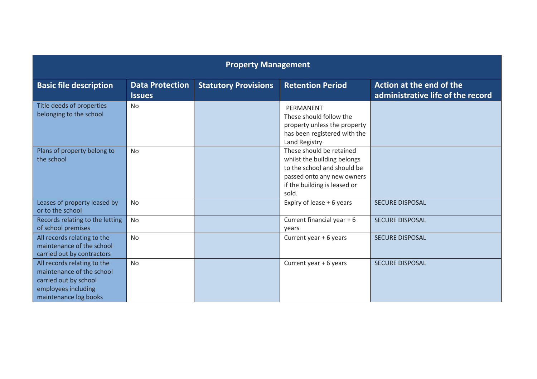| <b>Property Management</b>                                                                                                        |                                         |                             |                                                                                                                                                               |                                                               |
|-----------------------------------------------------------------------------------------------------------------------------------|-----------------------------------------|-----------------------------|---------------------------------------------------------------------------------------------------------------------------------------------------------------|---------------------------------------------------------------|
| <b>Basic file description</b>                                                                                                     | <b>Data Protection</b><br><b>Issues</b> | <b>Statutory Provisions</b> | <b>Retention Period</b>                                                                                                                                       | Action at the end of the<br>administrative life of the record |
| Title deeds of properties<br>belonging to the school                                                                              | <b>No</b>                               |                             | PERMANENT<br>These should follow the<br>property unless the property<br>has been registered with the<br>Land Registry                                         |                                                               |
| Plans of property belong to<br>the school                                                                                         | <b>No</b>                               |                             | These should be retained<br>whilst the building belongs<br>to the school and should be<br>passed onto any new owners<br>if the building is leased or<br>sold. |                                                               |
| Leases of property leased by<br>or to the school                                                                                  | <b>No</b>                               |                             | Expiry of lease + 6 years                                                                                                                                     | <b>SECURE DISPOSAL</b>                                        |
| Records relating to the letting<br>of school premises                                                                             | <b>No</b>                               |                             | Current financial year + 6<br>years                                                                                                                           | <b>SECURE DISPOSAL</b>                                        |
| All records relating to the<br>maintenance of the school<br>carried out by contractors                                            | <b>No</b>                               |                             | Current year + 6 years                                                                                                                                        | <b>SECURE DISPOSAL</b>                                        |
| All records relating to the<br>maintenance of the school<br>carried out by school<br>employees including<br>maintenance log books | <b>No</b>                               |                             | Current year + 6 years                                                                                                                                        | <b>SECURE DISPOSAL</b>                                        |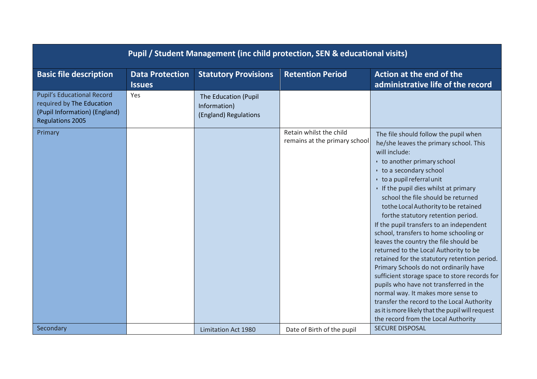| Pupil / Student Management (inc child protection, SEN & educational visits)                                                |                                         |                                                               |                                                          |                                                                                                                                                                                                                                                                                                                                                                                                                                                                                                                                                                                                                                                                                                                                                                                                                                                                                                   |
|----------------------------------------------------------------------------------------------------------------------------|-----------------------------------------|---------------------------------------------------------------|----------------------------------------------------------|---------------------------------------------------------------------------------------------------------------------------------------------------------------------------------------------------------------------------------------------------------------------------------------------------------------------------------------------------------------------------------------------------------------------------------------------------------------------------------------------------------------------------------------------------------------------------------------------------------------------------------------------------------------------------------------------------------------------------------------------------------------------------------------------------------------------------------------------------------------------------------------------------|
| <b>Basic file description</b>                                                                                              | <b>Data Protection</b><br><b>Issues</b> | <b>Statutory Provisions</b>                                   | <b>Retention Period</b>                                  | Action at the end of the<br>administrative life of the record                                                                                                                                                                                                                                                                                                                                                                                                                                                                                                                                                                                                                                                                                                                                                                                                                                     |
| <b>Pupil's Educational Record</b><br>required by The Education<br>(Pupil Information) (England)<br><b>Regulations 2005</b> | Yes                                     | The Education (Pupil<br>Information)<br>(England) Regulations |                                                          |                                                                                                                                                                                                                                                                                                                                                                                                                                                                                                                                                                                                                                                                                                                                                                                                                                                                                                   |
| Primary                                                                                                                    |                                         |                                                               | Retain whilst the child<br>remains at the primary school | The file should follow the pupil when<br>he/she leaves the primary school. This<br>will include:<br>• to another primary school<br>• to a secondary school<br>· to a pupil referral unit<br>. If the pupil dies whilst at primary<br>school the file should be returned<br>tothe Local Authority to be retained<br>forthe statutory retention period.<br>If the pupil transfers to an independent<br>school, transfers to home schooling or<br>leaves the country the file should be<br>returned to the Local Authority to be<br>retained for the statutory retention period.<br>Primary Schools do not ordinarily have<br>sufficient storage space to store records for<br>pupils who have not transferred in the<br>normal way. It makes more sense to<br>transfer the record to the Local Authority<br>as it is more likely that the pupil will request<br>the record from the Local Authority |
| Secondary                                                                                                                  |                                         | Limitation Act 1980                                           | Date of Birth of the pupil                               | <b>SECURE DISPOSAL</b>                                                                                                                                                                                                                                                                                                                                                                                                                                                                                                                                                                                                                                                                                                                                                                                                                                                                            |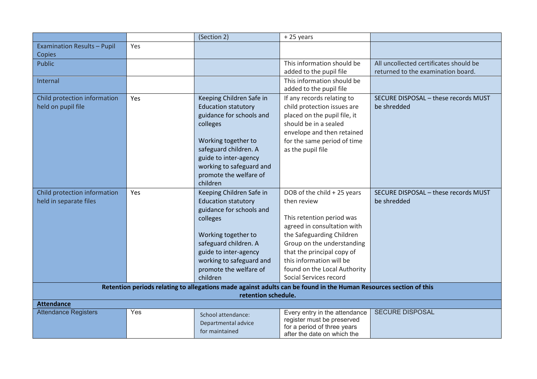|                                                                                                                   |     | (Section 2)                                                                                                                                                                                                                               | +25 years                                                                                                                                                                                                                                                                             |                                                                              |
|-------------------------------------------------------------------------------------------------------------------|-----|-------------------------------------------------------------------------------------------------------------------------------------------------------------------------------------------------------------------------------------------|---------------------------------------------------------------------------------------------------------------------------------------------------------------------------------------------------------------------------------------------------------------------------------------|------------------------------------------------------------------------------|
| <b>Examination Results - Pupil</b><br>Copies                                                                      | Yes |                                                                                                                                                                                                                                           |                                                                                                                                                                                                                                                                                       |                                                                              |
| <b>Public</b>                                                                                                     |     |                                                                                                                                                                                                                                           | This information should be<br>added to the pupil file                                                                                                                                                                                                                                 | All uncollected certificates should be<br>returned to the examination board. |
| Internal                                                                                                          |     |                                                                                                                                                                                                                                           | This information should be<br>added to the pupil file                                                                                                                                                                                                                                 |                                                                              |
| Child protection information<br>held on pupil file                                                                | Yes | Keeping Children Safe in<br><b>Education statutory</b><br>guidance for schools and<br>colleges<br>Working together to<br>safeguard children. A<br>guide to inter-agency<br>working to safeguard and<br>promote the welfare of<br>children | If any records relating to<br>child protection issues are<br>placed on the pupil file, it<br>should be in a sealed<br>envelope and then retained<br>for the same period of time<br>as the pupil file                                                                                  | SECURE DISPOSAL - these records MUST<br>be shredded                          |
| Child protection information<br>held in separate files                                                            | Yes | Keeping Children Safe in<br><b>Education statutory</b><br>guidance for schools and<br>colleges<br>Working together to<br>safeguard children. A<br>guide to inter-agency<br>working to safeguard and<br>promote the welfare of<br>children | DOB of the child + 25 years<br>then review<br>This retention period was<br>agreed in consultation with<br>the Safeguarding Children<br>Group on the understanding<br>that the principal copy of<br>this information will be<br>found on the Local Authority<br>Social Services record | SECURE DISPOSAL - these records MUST<br>be shredded                          |
| Retention periods relating to allegations made against adults can be found in the Human Resources section of this |     |                                                                                                                                                                                                                                           |                                                                                                                                                                                                                                                                                       |                                                                              |
| retention schedule.                                                                                               |     |                                                                                                                                                                                                                                           |                                                                                                                                                                                                                                                                                       |                                                                              |
| <b>Attendance</b>                                                                                                 |     |                                                                                                                                                                                                                                           |                                                                                                                                                                                                                                                                                       |                                                                              |
| <b>Attendance Registers</b>                                                                                       | Yes | School attendance:<br>Departmental advice<br>for maintained                                                                                                                                                                               | Every entry in the attendance<br>register must be preserved<br>for a period of three years<br>after the date on which the                                                                                                                                                             | <b>SECURE DISPOSAL</b>                                                       |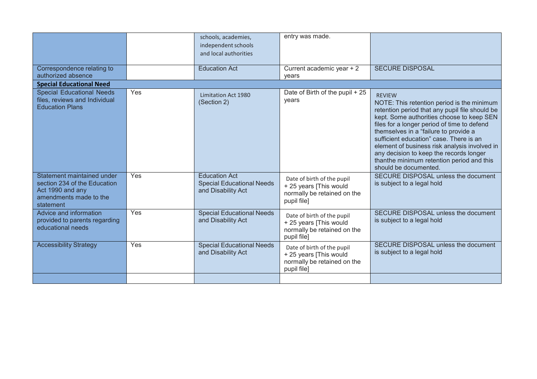|                                                                                                                       |     | schools, academies,<br>independent schools<br>and local authorities            | entry was made.                                                                                    |                                                                                                                                                                                                                                                                                                                                                                                                                                                                 |
|-----------------------------------------------------------------------------------------------------------------------|-----|--------------------------------------------------------------------------------|----------------------------------------------------------------------------------------------------|-----------------------------------------------------------------------------------------------------------------------------------------------------------------------------------------------------------------------------------------------------------------------------------------------------------------------------------------------------------------------------------------------------------------------------------------------------------------|
| Correspondence relating to<br>authorized absence                                                                      |     | <b>Education Act</b>                                                           | Current academic year + 2<br>years                                                                 | <b>SECURE DISPOSAL</b>                                                                                                                                                                                                                                                                                                                                                                                                                                          |
| <b>Special Educational Need</b>                                                                                       |     |                                                                                |                                                                                                    |                                                                                                                                                                                                                                                                                                                                                                                                                                                                 |
| <b>Special Educational Needs</b><br>files, reviews and Individual<br><b>Education Plans</b>                           | Yes | Limitation Act 1980<br>(Section 2)                                             | Date of Birth of the pupil + 25<br>years                                                           | <b>REVIEW</b><br>NOTE: This retention period is the minimum<br>retention period that any pupil file should be<br>kept. Some authorities choose to keep SEN<br>files for a longer period of time to defend<br>themselves in a "failure to provide a<br>sufficient education" case. There is an<br>element of business risk analysis involved in<br>any decision to keep the records longer<br>thanthe minimum retention period and this<br>should be documented. |
| Statement maintained under<br>section 234 of the Education<br>Act 1990 and any<br>amendments made to the<br>statement | Yes | <b>Education Act</b><br><b>Special Educational Needs</b><br>and Disability Act | Date of birth of the pupil<br>+ 25 years [This would<br>normally be retained on the<br>pupil file] | SECURE DISPOSAL unless the document<br>is subject to a legal hold                                                                                                                                                                                                                                                                                                                                                                                               |
| Advice and information<br>provided to parents regarding<br>educational needs                                          | Yes | <b>Special Educational Needs</b><br>and Disability Act                         | Date of birth of the pupil<br>+ 25 years [This would<br>normally be retained on the<br>pupil file] | SECURE DISPOSAL unless the document<br>is subject to a legal hold                                                                                                                                                                                                                                                                                                                                                                                               |
| <b>Accessibility Strategy</b>                                                                                         | Yes | <b>Special Educational Needs</b><br>and Disability Act                         | Date of birth of the pupil<br>+25 years [This would<br>normally be retained on the<br>pupil file]  | SECURE DISPOSAL unless the document<br>is subject to a legal hold                                                                                                                                                                                                                                                                                                                                                                                               |
|                                                                                                                       |     |                                                                                |                                                                                                    |                                                                                                                                                                                                                                                                                                                                                                                                                                                                 |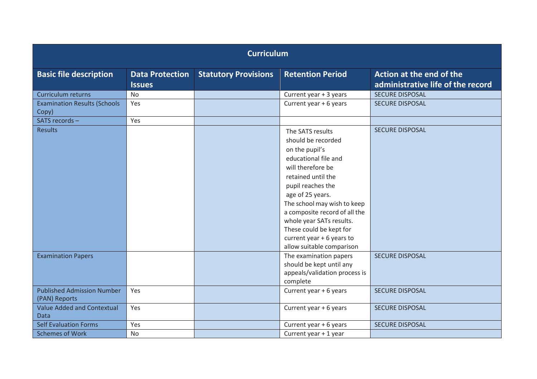| <b>Curriculum</b>                                  |                                         |                             |                                                                                                                                                                                                                                                                                                                                                       |                                                               |
|----------------------------------------------------|-----------------------------------------|-----------------------------|-------------------------------------------------------------------------------------------------------------------------------------------------------------------------------------------------------------------------------------------------------------------------------------------------------------------------------------------------------|---------------------------------------------------------------|
| <b>Basic file description</b>                      | <b>Data Protection</b><br><b>Issues</b> | <b>Statutory Provisions</b> | <b>Retention Period</b>                                                                                                                                                                                                                                                                                                                               | Action at the end of the<br>administrative life of the record |
| Curriculum returns                                 | <b>No</b>                               |                             | Current year + 3 years                                                                                                                                                                                                                                                                                                                                | <b>SECURE DISPOSAL</b>                                        |
| <b>Examination Results (Schools</b><br>Copy)       | Yes                                     |                             | Current year + 6 years                                                                                                                                                                                                                                                                                                                                | <b>SECURE DISPOSAL</b>                                        |
| SATS records -                                     | Yes                                     |                             |                                                                                                                                                                                                                                                                                                                                                       |                                                               |
| <b>Results</b>                                     |                                         |                             | The SATS results<br>should be recorded<br>on the pupil's<br>educational file and<br>will therefore be<br>retained until the<br>pupil reaches the<br>age of 25 years.<br>The school may wish to keep<br>a composite record of all the<br>whole year SATs results.<br>These could be kept for<br>current year + 6 years to<br>allow suitable comparison | <b>SECURE DISPOSAL</b>                                        |
| <b>Examination Papers</b>                          |                                         |                             | The examination papers<br>should be kept until any<br>appeals/validation process is<br>complete                                                                                                                                                                                                                                                       | <b>SECURE DISPOSAL</b>                                        |
| <b>Published Admission Number</b><br>(PAN) Reports | Yes                                     |                             | Current year + 6 years                                                                                                                                                                                                                                                                                                                                | <b>SECURE DISPOSAL</b>                                        |
| <b>Value Added and Contextual</b><br>Data          | Yes                                     |                             | Current year + 6 years                                                                                                                                                                                                                                                                                                                                | <b>SECURE DISPOSAL</b>                                        |
| <b>Self Evaluation Forms</b>                       | Yes                                     |                             | Current year + 6 years                                                                                                                                                                                                                                                                                                                                | <b>SECURE DISPOSAL</b>                                        |
| <b>Schemes of Work</b>                             | <b>No</b>                               |                             | Current year + 1 year                                                                                                                                                                                                                                                                                                                                 |                                                               |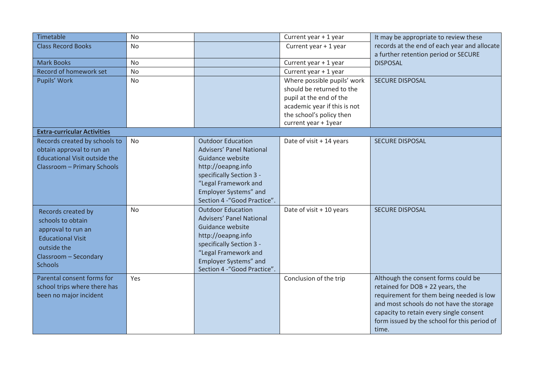| Timetable                            | <b>No</b> |                                 | Current year + 1 year        | It may be appropriate to review these        |
|--------------------------------------|-----------|---------------------------------|------------------------------|----------------------------------------------|
| <b>Class Record Books</b>            | <b>No</b> |                                 | Current year + 1 year        | records at the end of each year and allocate |
|                                      |           |                                 |                              | a further retention period or SECURE         |
| <b>Mark Books</b>                    | No        |                                 | Current year + 1 year        | <b>DISPOSAL</b>                              |
| Record of homework set               | No        |                                 | Current year + 1 year        |                                              |
| Pupils' Work                         | No        |                                 | Where possible pupils' work  | <b>SECURE DISPOSAL</b>                       |
|                                      |           |                                 | should be returned to the    |                                              |
|                                      |           |                                 | pupil at the end of the      |                                              |
|                                      |           |                                 | academic year if this is not |                                              |
|                                      |           |                                 | the school's policy then     |                                              |
|                                      |           |                                 | current year + 1year         |                                              |
| <b>Extra-curricular Activities</b>   |           |                                 |                              |                                              |
| Records created by schools to        | <b>No</b> | <b>Outdoor Education</b>        | Date of visit + 14 years     | <b>SECURE DISPOSAL</b>                       |
| obtain approval to run an            |           | <b>Advisers' Panel National</b> |                              |                                              |
| <b>Educational Visit outside the</b> |           | Guidance website                |                              |                                              |
| <b>Classroom - Primary Schools</b>   |           | http://oeapng.info              |                              |                                              |
|                                      |           | specifically Section 3 -        |                              |                                              |
|                                      |           | "Legal Framework and            |                              |                                              |
|                                      |           | Employer Systems" and           |                              |                                              |
|                                      |           | Section 4 - "Good Practice".    |                              |                                              |
| Records created by                   | No        | <b>Outdoor Education</b>        | Date of visit + 10 years     | <b>SECURE DISPOSAL</b>                       |
| schools to obtain                    |           | <b>Advisers' Panel National</b> |                              |                                              |
| approval to run an                   |           | Guidance website                |                              |                                              |
| <b>Educational Visit</b>             |           | http://oeapng.info              |                              |                                              |
| outside the                          |           | specifically Section 3 -        |                              |                                              |
| Classroom - Secondary                |           | "Legal Framework and            |                              |                                              |
| <b>Schools</b>                       |           | Employer Systems" and           |                              |                                              |
|                                      |           | Section 4 - "Good Practice".    |                              |                                              |
| Parental consent forms for           | Yes       |                                 | Conclusion of the trip       | Although the consent forms could be          |
| school trips where there has         |           |                                 |                              | retained for DOB + 22 years, the             |
| been no major incident               |           |                                 |                              | requirement for them being needed is low     |
|                                      |           |                                 |                              | and most schools do not have the storage     |
|                                      |           |                                 |                              | capacity to retain every single consent      |
|                                      |           |                                 |                              | form issued by the school for this period of |
|                                      |           |                                 |                              | time.                                        |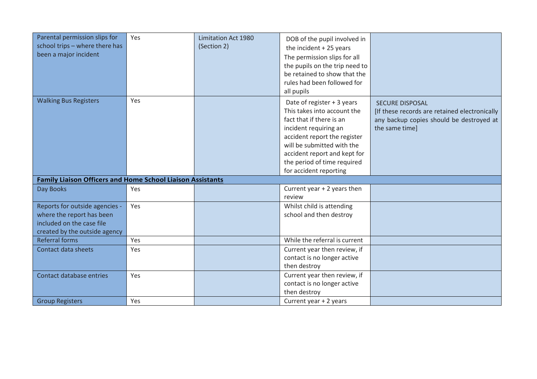| Parental permission slips for<br>school trips - where there has<br>been a major incident                                  | Yes | Limitation Act 1980<br>(Section 2) | DOB of the pupil involved in<br>the incident $+25$ years<br>The permission slips for all<br>the pupils on the trip need to<br>be retained to show that the<br>rules had been followed for<br>all pupils                                                               |                                                                                                                                       |
|---------------------------------------------------------------------------------------------------------------------------|-----|------------------------------------|-----------------------------------------------------------------------------------------------------------------------------------------------------------------------------------------------------------------------------------------------------------------------|---------------------------------------------------------------------------------------------------------------------------------------|
| <b>Walking Bus Registers</b>                                                                                              | Yes |                                    | Date of register + 3 years<br>This takes into account the<br>fact that if there is an<br>incident requiring an<br>accident report the register<br>will be submitted with the<br>accident report and kept for<br>the period of time required<br>for accident reporting | <b>SECURE DISPOSAL</b><br>[If these records are retained electronically<br>any backup copies should be destroyed at<br>the same time] |
| <b>Family Liaison Officers and Home School Liaison Assistants</b>                                                         |     |                                    |                                                                                                                                                                                                                                                                       |                                                                                                                                       |
| Day Books                                                                                                                 | Yes |                                    | Current year + 2 years then<br>review                                                                                                                                                                                                                                 |                                                                                                                                       |
| Reports for outside agencies -<br>where the report has been<br>included on the case file<br>created by the outside agency | Yes |                                    | Whilst child is attending<br>school and then destroy                                                                                                                                                                                                                  |                                                                                                                                       |
| <b>Referral forms</b>                                                                                                     | Yes |                                    | While the referral is current                                                                                                                                                                                                                                         |                                                                                                                                       |
| Contact data sheets                                                                                                       | Yes |                                    | Current year then review, if<br>contact is no longer active<br>then destroy                                                                                                                                                                                           |                                                                                                                                       |
| Contact database entries                                                                                                  | Yes |                                    | Current year then review, if<br>contact is no longer active<br>then destroy                                                                                                                                                                                           |                                                                                                                                       |
| <b>Group Registers</b>                                                                                                    | Yes |                                    | Current year + 2 years                                                                                                                                                                                                                                                |                                                                                                                                       |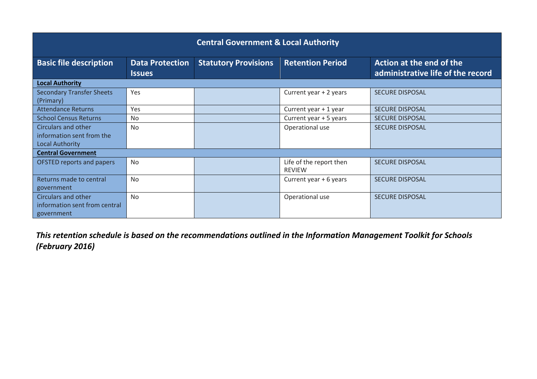| <b>Central Government &amp; Local Authority</b>                            |                                         |                             |                                          |                                                               |  |
|----------------------------------------------------------------------------|-----------------------------------------|-----------------------------|------------------------------------------|---------------------------------------------------------------|--|
| <b>Basic file description</b>                                              | <b>Data Protection</b><br><b>Issues</b> | <b>Statutory Provisions</b> | <b>Retention Period</b>                  | Action at the end of the<br>administrative life of the record |  |
| <b>Local Authority</b>                                                     |                                         |                             |                                          |                                                               |  |
| <b>Secondary Transfer Sheets</b><br>(Primary)                              | Yes                                     |                             | Current year + 2 years                   | <b>SECURE DISPOSAL</b>                                        |  |
| <b>Attendance Returns</b>                                                  | Yes                                     |                             | Current year + 1 year                    | <b>SECURE DISPOSAL</b>                                        |  |
| <b>School Census Returns</b>                                               | No.                                     |                             | Current year + 5 years                   | <b>SECURE DISPOSAL</b>                                        |  |
| Circulars and other<br>information sent from the<br><b>Local Authority</b> | No.                                     |                             | Operational use                          | <b>SECURE DISPOSAL</b>                                        |  |
| <b>Central Government</b>                                                  |                                         |                             |                                          |                                                               |  |
| OFSTED reports and papers                                                  | <b>No</b>                               |                             | Life of the report then<br><b>REVIEW</b> | <b>SECURE DISPOSAL</b>                                        |  |
| Returns made to central<br>government                                      | <b>No</b>                               |                             | Current year + 6 years                   | <b>SECURE DISPOSAL</b>                                        |  |
| Circulars and other<br>information sent from central<br>government         | <b>No</b>                               |                             | Operational use                          | <b>SECURE DISPOSAL</b>                                        |  |

*This retention schedule is based on the recommendations outlined in the Information Management Toolkit for Schools (February 2016)*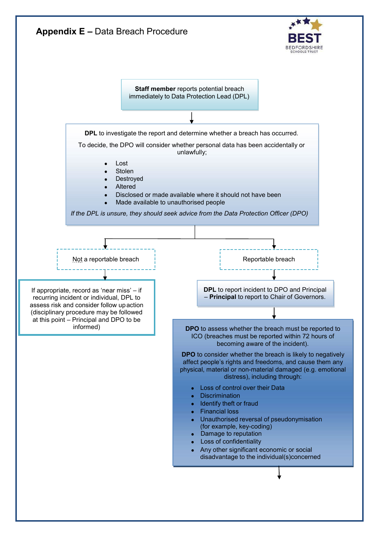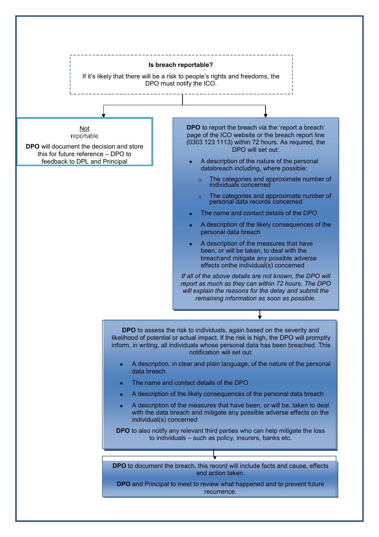